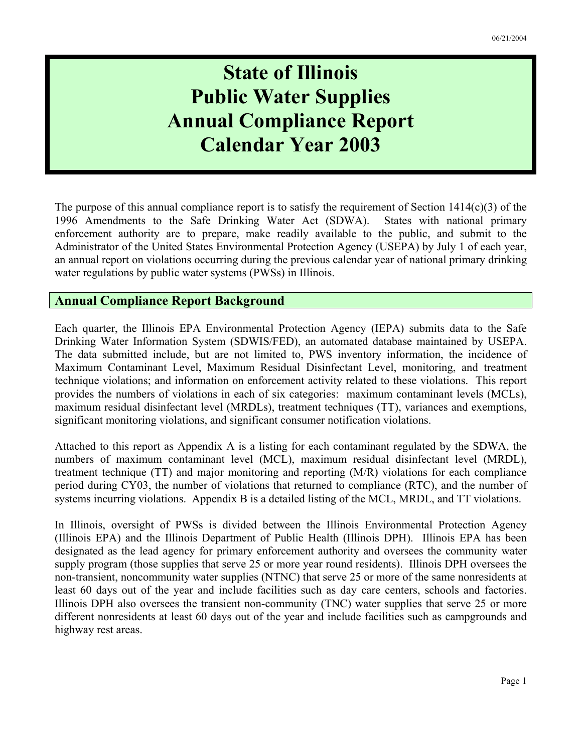# **State of Illinois Public Water Supplies Annual Compliance Report Calendar Year 2003**

The purpose of this annual compliance report is to satisfy the requirement of Section 1414(c)(3) of the 1996 Amendments to the Safe Drinking Water Act (SDWA). States with national primary enforcement authority are to prepare, make readily available to the public, and submit to the Administrator of the United States Environmental Protection Agency (USEPA) by July 1 of each year, an annual report on violations occurring during the previous calendar year of national primary drinking water regulations by public water systems (PWSs) in Illinois.

#### **Annual Compliance Report Background**

Each quarter, the Illinois EPA Environmental Protection Agency (IEPA) submits data to the Safe Drinking Water Information System (SDWIS/FED), an automated database maintained by USEPA. The data submitted include, but are not limited to, PWS inventory information, the incidence of Maximum Contaminant Level, Maximum Residual Disinfectant Level, monitoring, and treatment technique violations; and information on enforcement activity related to these violations. This report provides the numbers of violations in each of six categories: maximum contaminant levels (MCLs), maximum residual disinfectant level (MRDLs), treatment techniques (TT), variances and exemptions, significant monitoring violations, and significant consumer notification violations.

Attached to this report as Appendix A is a listing for each contaminant regulated by the SDWA, the numbers of maximum contaminant level (MCL), maximum residual disinfectant level (MRDL), treatment technique (TT) and major monitoring and reporting (M/R) violations for each compliance period during CY03, the number of violations that returned to compliance (RTC), and the number of systems incurring violations. Appendix B is a detailed listing of the MCL, MRDL, and TT violations.

In Illinois, oversight of PWSs is divided between the Illinois Environmental Protection Agency (Illinois EPA) and the Illinois Department of Public Health (Illinois DPH). Illinois EPA has been designated as the lead agency for primary enforcement authority and oversees the community water supply program (those supplies that serve 25 or more year round residents). Illinois DPH oversees the non-transient, noncommunity water supplies (NTNC) that serve 25 or more of the same nonresidents at least 60 days out of the year and include facilities such as day care centers, schools and factories. Illinois DPH also oversees the transient non-community (TNC) water supplies that serve 25 or more different nonresidents at least 60 days out of the year and include facilities such as campgrounds and highway rest areas.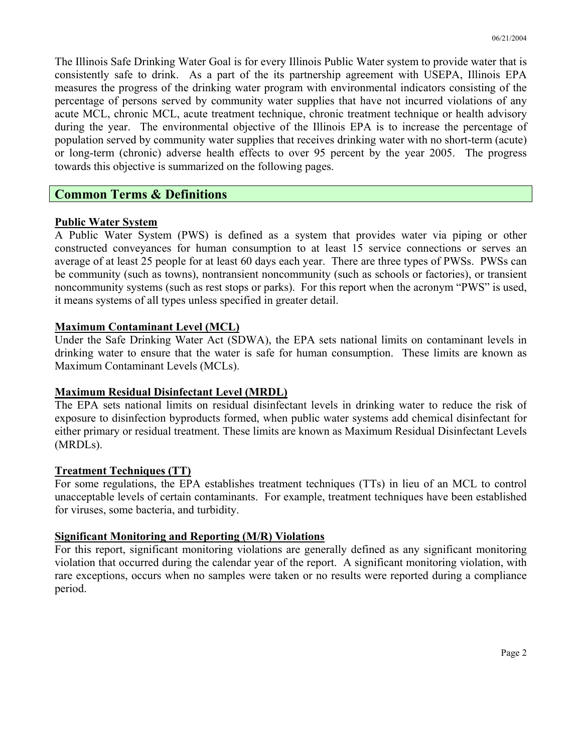The Illinois Safe Drinking Water Goal is for every Illinois Public Water system to provide water that is consistently safe to drink. As a part of the its partnership agreement with USEPA, Illinois EPA measures the progress of the drinking water program with environmental indicators consisting of the percentage of persons served by community water supplies that have not incurred violations of any acute MCL, chronic MCL, acute treatment technique, chronic treatment technique or health advisory during the year. The environmental objective of the Illinois EPA is to increase the percentage of population served by community water supplies that receives drinking water with no short-term (acute) or long-term (chronic) adverse health effects to over 95 percent by the year 2005. The progress towards this objective is summarized on the following pages.

#### **Common Terms & Definitions**

#### **Public Water System**

A Public Water System (PWS) is defined as a system that provides water via piping or other constructed conveyances for human consumption to at least 15 service connections or serves an average of at least 25 people for at least 60 days each year. There are three types of PWSs. PWSs can be community (such as towns), nontransient noncommunity (such as schools or factories), or transient noncommunity systems (such as rest stops or parks). For this report when the acronym "PWS" is used, it means systems of all types unless specified in greater detail.

#### **Maximum Contaminant Level (MCL)**

Under the Safe Drinking Water Act (SDWA), the EPA sets national limits on contaminant levels in drinking water to ensure that the water is safe for human consumption. These limits are known as Maximum Contaminant Levels (MCLs).

#### **Maximum Residual Disinfectant Level (MRDL)**

The EPA sets national limits on residual disinfectant levels in drinking water to reduce the risk of exposure to disinfection byproducts formed, when public water systems add chemical disinfectant for either primary or residual treatment. These limits are known as Maximum Residual Disinfectant Levels (MRDLs).

#### **Treatment Techniques (TT)**

For some regulations, the EPA establishes treatment techniques (TTs) in lieu of an MCL to control unacceptable levels of certain contaminants. For example, treatment techniques have been established for viruses, some bacteria, and turbidity.

#### **Significant Monitoring and Reporting (M/R) Violations**

For this report, significant monitoring violations are generally defined as any significant monitoring violation that occurred during the calendar year of the report. A significant monitoring violation, with rare exceptions, occurs when no samples were taken or no results were reported during a compliance period.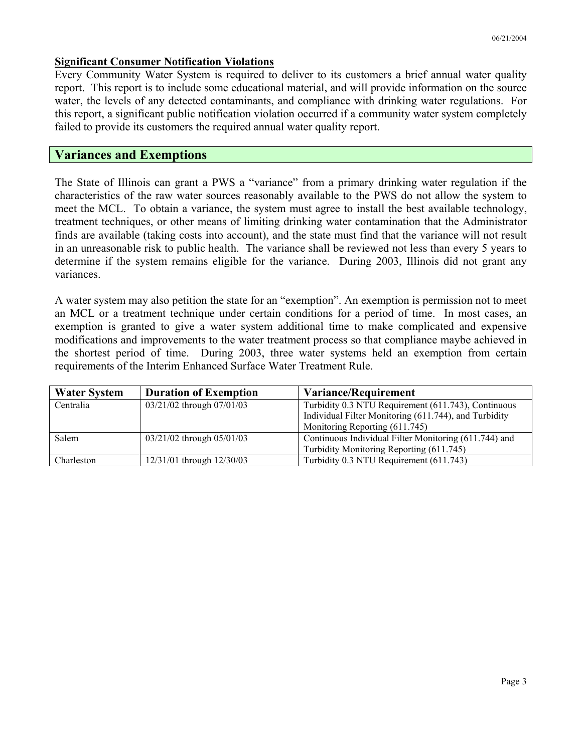#### **Significant Consumer Notification Violations**

Every Community Water System is required to deliver to its customers a brief annual water quality report. This report is to include some educational material, and will provide information on the source water, the levels of any detected contaminants, and compliance with drinking water regulations. For this report, a significant public notification violation occurred if a community water system completely failed to provide its customers the required annual water quality report.

#### **Variances and Exemptions**

The State of Illinois can grant a PWS a "variance" from a primary drinking water regulation if the characteristics of the raw water sources reasonably available to the PWS do not allow the system to meet the MCL. To obtain a variance, the system must agree to install the best available technology, treatment techniques, or other means of limiting drinking water contamination that the Administrator finds are available (taking costs into account), and the state must find that the variance will not result in an unreasonable risk to public health. The variance shall be reviewed not less than every 5 years to determine if the system remains eligible for the variance. During 2003, Illinois did not grant any variances.

A water system may also petition the state for an "exemption". An exemption is permission not to meet an MCL or a treatment technique under certain conditions for a period of time. In most cases, an exemption is granted to give a water system additional time to make complicated and expensive modifications and improvements to the water treatment process so that compliance maybe achieved in the shortest period of time. During 2003, three water systems held an exemption from certain requirements of the Interim Enhanced Surface Water Treatment Rule.

| <b>Water System</b> | <b>Duration of Exemption</b> | <b>Variance/Requirement</b>                           |
|---------------------|------------------------------|-------------------------------------------------------|
| Centralia           | 03/21/02 through 07/01/03    | Turbidity 0.3 NTU Requirement (611.743), Continuous   |
|                     |                              | Individual Filter Monitoring (611.744), and Turbidity |
|                     |                              | Monitoring Reporting (611.745)                        |
| Salem               | 03/21/02 through 05/01/03    | Continuous Individual Filter Monitoring (611.744) and |
|                     |                              | Turbidity Monitoring Reporting (611.745)              |
| Charleston          | 12/31/01 through 12/30/03    | Turbidity 0.3 NTU Requirement (611.743)               |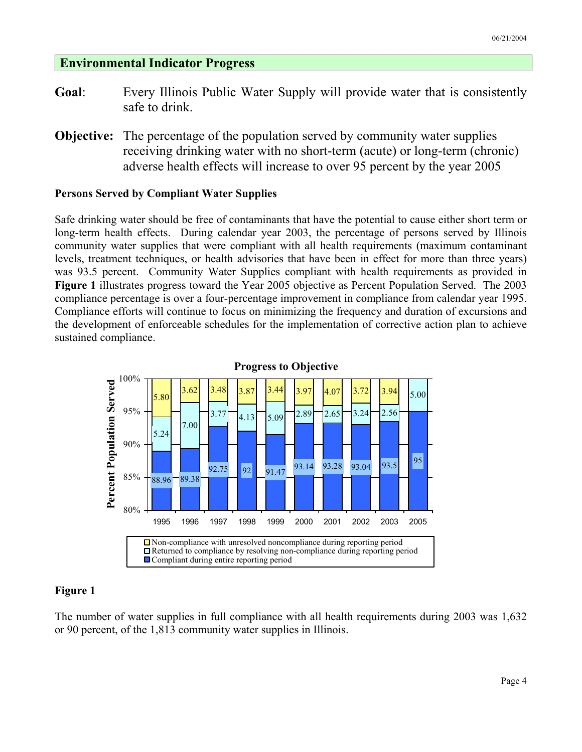#### **Environmental Indicator Progress**

- **Goal**: Every Illinois Public Water Supply will provide water that is consistently safe to drink.
- **Objective:** The percentage of the population served by community water supplies receiving drinking water with no short-term (acute) or long-term (chronic) adverse health effects will increase to over 95 percent by the year 2005

#### **Persons Served by Compliant Water Supplies**

Safe drinking water should be free of contaminants that have the potential to cause either short term or long-term health effects. During calendar year 2003, the percentage of persons served by Illinois community water supplies that were compliant with all health requirements (maximum contaminant levels, treatment techniques, or health advisories that have been in effect for more than three years) was 93.5 percent. Community Water Supplies compliant with health requirements as provided in **Figure 1** illustrates progress toward the Year 2005 objective as Percent Population Served. The 2003 compliance percentage is over a four-percentage improvement in compliance from calendar year 1995. Compliance efforts will continue to focus on minimizing the frequency and duration of excursions and the development of enforceable schedules for the implementation of corrective action plan to achieve sustained compliance.





#### **Figure 1**

The number of water supplies in full compliance with all health requirements during 2003 was 1,632 or 90 percent, of the 1,813 community water supplies in Illinois.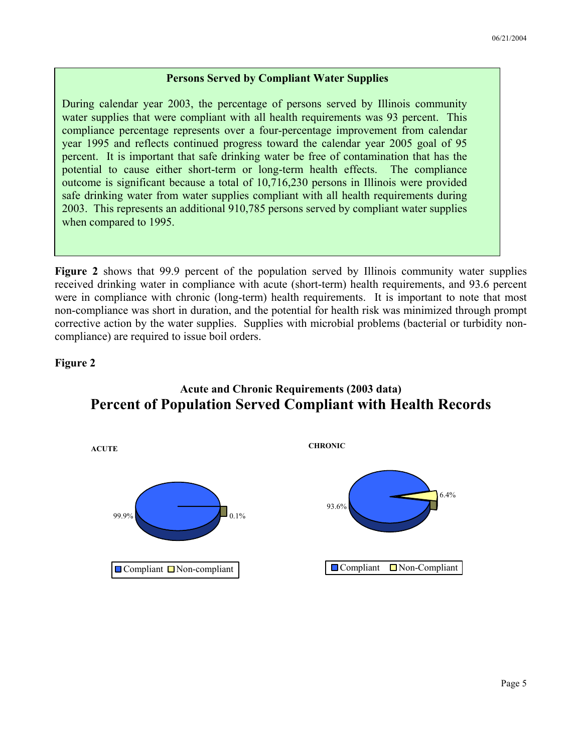#### **Persons Served by Compliant Water Supplies**

During calendar year 2003, the percentage of persons served by Illinois community water supplies that were compliant with all health requirements was 93 percent. This compliance percentage represents over a four-percentage improvement from calendar year 1995 and reflects continued progress toward the calendar year 2005 goal of 95 percent. It is important that safe drinking water be free of contamination that has the potential to cause either short-term or long-term health effects. The compliance outcome is significant because a total of 10,716,230 persons in Illinois were provided safe drinking water from water supplies compliant with all health requirements during 2003. This represents an additional 910,785 persons served by compliant water supplies when compared to 1995.

**Figure 2** shows that 99.9 percent of the population served by Illinois community water supplies received drinking water in compliance with acute (short-term) health requirements, and 93.6 percent were in compliance with chronic (long-term) health requirements. It is important to note that most non-compliance was short in duration, and the potential for health risk was minimized through prompt corrective action by the water supplies. Supplies with microbial problems (bacterial or turbidity noncompliance) are required to issue boil orders.

#### **Figure 2**



#### **Acute and Chronic Requirements (2003 data) Percent of Population Served Compliant with Health Records**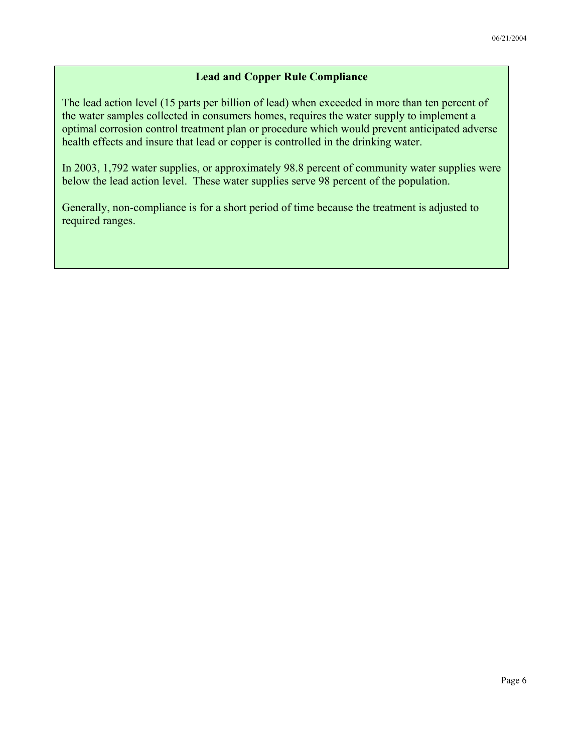#### **Lead and Copper Rule Compliance**

The lead action level (15 parts per billion of lead) when exceeded in more than ten percent of the water samples collected in consumers homes, requires the water supply to implement a optimal corrosion control treatment plan or procedure which would prevent anticipated adverse health effects and insure that lead or copper is controlled in the drinking water.

In 2003, 1,792 water supplies, or approximately 98.8 percent of community water supplies were below the lead action level. These water supplies serve 98 percent of the population.

Generally, non-compliance is for a short period of time because the treatment is adjusted to required ranges.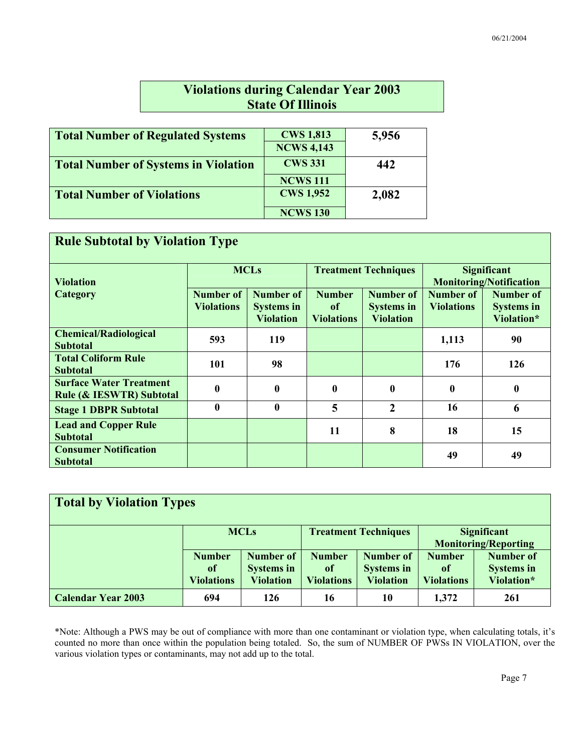### **Violations during Calendar Year 2003 State Of Illinois**

| <b>Total Number of Regulated Systems</b>    | <b>CWS 1,813</b>  | 5,956 |
|---------------------------------------------|-------------------|-------|
|                                             | <b>NCWS 4,143</b> |       |
| <b>Total Number of Systems in Violation</b> | <b>CWS 331</b>    | 442   |
|                                             | <b>NCWS 111</b>   |       |
| <b>Total Number of Violations</b>           | <b>CWS 1,952</b>  | 2,082 |
|                                             | <b>NCWS 130</b>   |       |

| <b>Rule Subtotal by Violation Type</b>                                |                                       |                                                    |                                          |                                                    |                                                      |                                                     |  |  |  |  |
|-----------------------------------------------------------------------|---------------------------------------|----------------------------------------------------|------------------------------------------|----------------------------------------------------|------------------------------------------------------|-----------------------------------------------------|--|--|--|--|
| <b>Violation</b>                                                      |                                       | <b>MCLs</b>                                        |                                          | <b>Treatment Techniques</b>                        | <b>Significant</b><br><b>Monitoring/Notification</b> |                                                     |  |  |  |  |
| Category                                                              | <b>Number</b> of<br><b>Violations</b> | Number of<br><b>Systems in</b><br><b>Violation</b> | <b>Number</b><br>of<br><b>Violations</b> | Number of<br><b>Systems in</b><br><b>Violation</b> | Number of<br><b>Violations</b>                       | <b>Number of</b><br><b>Systems in</b><br>Violation* |  |  |  |  |
| <b>Chemical/Radiological</b><br><b>Subtotal</b>                       | 593                                   | <b>119</b>                                         |                                          |                                                    | 1,113                                                | 90                                                  |  |  |  |  |
| <b>Total Coliform Rule</b><br><b>Subtotal</b>                         | 101                                   | 98                                                 |                                          |                                                    | 176                                                  | 126                                                 |  |  |  |  |
| <b>Surface Water Treatment</b><br><b>Rule (&amp; IESWTR) Subtotal</b> | $\mathbf{0}$                          | $\mathbf{0}$                                       | $\boldsymbol{0}$                         | $\bf{0}$                                           | $\bf{0}$                                             | $\mathbf{0}$                                        |  |  |  |  |
| <b>Stage 1 DBPR Subtotal</b>                                          | $\mathbf{0}$                          | $\bf{0}$                                           | 5                                        | $\overline{2}$                                     | 16                                                   | 6                                                   |  |  |  |  |
| <b>Lead and Copper Rule</b><br><b>Subtotal</b>                        |                                       |                                                    | 11                                       | 8                                                  | 18                                                   | 15                                                  |  |  |  |  |
| <b>Consumer Notification</b><br><b>Subtotal</b>                       |                                       |                                                    |                                          |                                                    | 49                                                   | 49                                                  |  |  |  |  |

| <b>Total by Violation Types</b> |                                                     |                                                           |                                                     |                                                           |                                                   |                                              |  |  |
|---------------------------------|-----------------------------------------------------|-----------------------------------------------------------|-----------------------------------------------------|-----------------------------------------------------------|---------------------------------------------------|----------------------------------------------|--|--|
|                                 |                                                     | <b>MCLs</b>                                               |                                                     | <b>Treatment Techniques</b>                               | <b>Significant</b><br><b>Monitoring/Reporting</b> |                                              |  |  |
|                                 | <b>Number</b><br><sup>of</sup><br><b>Violations</b> | <b>Number of</b><br><b>Systems in</b><br><b>Violation</b> | <b>Number</b><br><sub>of</sub><br><b>Violations</b> | <b>Number of</b><br><b>Systems in</b><br><b>Violation</b> | <b>Number</b><br>0f<br><b>Violations</b>          | Number of<br><b>Systems in</b><br>Violation* |  |  |
| <b>Calendar Year 2003</b>       | 694                                                 | 126                                                       | 16                                                  | 10                                                        | 1,372                                             | 261                                          |  |  |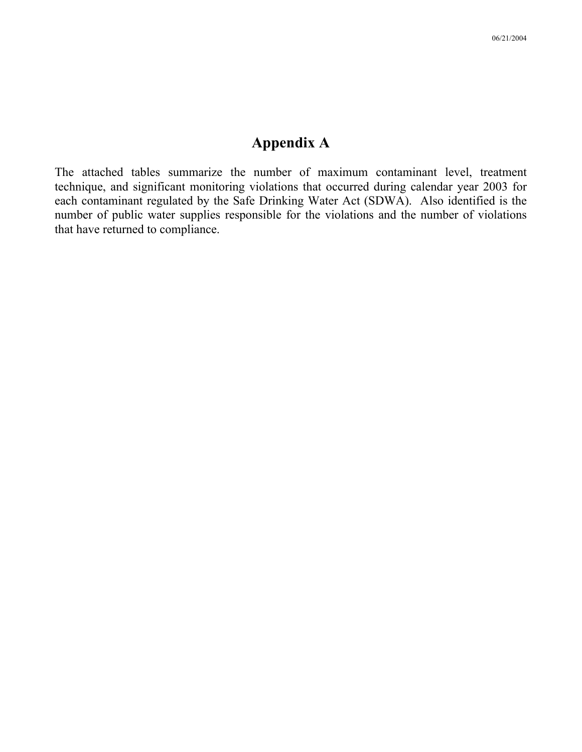### **Appendix A**

The attached tables summarize the number of maximum contaminant level, treatment technique, and significant monitoring violations that occurred during calendar year 2003 for each contaminant regulated by the Safe Drinking Water Act (SDWA). Also identified is the number of public water supplies responsible for the violations and the number of violations that have returned to compliance.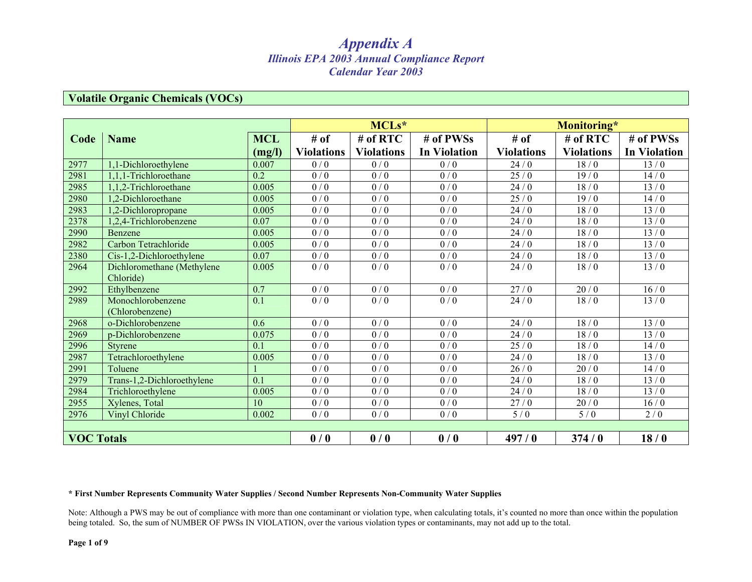#### **Volatile Organic Chemicals (VOCs)**

|                   |                            |            |                   | MCLs*             |                     |                   | Monitoring*       |                     |
|-------------------|----------------------------|------------|-------------------|-------------------|---------------------|-------------------|-------------------|---------------------|
| Code              | <b>Name</b>                | <b>MCL</b> | # of              | # of RTC          | # of PWSs           | # of              | # of RTC          | # of PWSs           |
|                   |                            | (mg/l)     | <b>Violations</b> | <b>Violations</b> | <b>In Violation</b> | <b>Violations</b> | <b>Violations</b> | <b>In Violation</b> |
| 2977              | 1.1-Dichloroethylene       | 0.007      | 0/0               | 0/0               | 0/0                 | 24/0              | 18/0              | 13/0                |
| 2981              | 1,1,1-Trichloroethane      | 0.2        | 0/0               | 0/0               | 0/0                 | 25/0              | 19/0              | 14/0                |
| 2985              | 1,1,2-Trichloroethane      | 0.005      | 0/0               | 0/0               | 0/0                 | 24/0              | 18/0              | 13/0                |
| 2980              | 1,2-Dichloroethane         | 0.005      | 0/0               | 0/0               | 0/0                 | 25/0              | 19/0              | 14/0                |
| 2983              | 1,2-Dichloropropane        | 0.005      | 0/0               | 0/0               | 0/0                 | 24/0              | 18/0              | 13/0                |
| 2378              | 1,2,4-Trichlorobenzene     | 0.07       | 0/0               | 0/0               | $0\mathbin{/}0$     | $24/0$            | 18/0              | 13/0                |
| 2990              | Benzene                    | 0.005      | 0/0               | 0/0               | 0/0                 | 24/0              | 18/0              | 13/0                |
| 2982              | Carbon Tetrachloride       | 0.005      | 0/0               | 0/0               | 0/0                 | 24/0              | 18/0              | 13/0                |
| 2380              | Cis-1,2-Dichloroethylene   | 0.07       | 0/0               | 0/0               | 0/0                 | 24/0              | 18/0              | 13/0                |
| 2964              | Dichloromethane (Methylene | 0.005      | 0/0               | 0/0               | 0/0                 | 24/0              | 18/0              | 13/0                |
|                   | Chloride)                  |            |                   |                   |                     |                   |                   |                     |
| 2992              | Ethylbenzene               | 0.7        | 0/0               | 0/0               | 0/0                 | 27/0              | 20/0              | 16/0                |
| 2989              | Monochlorobenzene          | 0.1        | 0/0               | 0/0               | 0/0                 | 24/0              | 18/0              | 13/0                |
|                   | (Chlorobenzene)            |            |                   |                   |                     |                   |                   |                     |
| 2968              | o-Dichlorobenzene          | 0.6        | $\overline{0/0}$  | 0/0               | 0/0                 | 24/0              | 18/0              | 13/0                |
| 2969              | p-Dichlorobenzene          | 0.075      | 0/0               | 0/0               | 0/0                 | 24/0              | 18/0              | 13/0                |
| 2996              | <b>Styrene</b>             | 0.1        | 0/0               | 0/0               | 0/0                 | 25/0              | 18/0              | 14/0                |
| 2987              | Tetrachloroethylene        | 0.005      | 0/0               | 0/0               | 0/0                 | 24/0              | 18/0              | 13/0                |
| 2991              | Toluene                    |            | 0/0               | 0/0               | 0/0                 | 26/0              | 20/0              | 14/0                |
| 2979              | Trans-1,2-Dichloroethylene | 0.1        | 0/0               | $\overline{0/0}$  | $\overline{0/0}$    | 24/0              | 18/0              | 13/0                |
| 2984              | Trichloroethylene          | 0.005      | 0/0               | 0/0               | 0/0                 | 24/0              | 18/0              | 13/0                |
| 2955              | Xylenes, Total             | 10         | 0/0               | 0/0               | 0/0                 | 27/0              | $20/0$            | 16/0                |
| 2976              | Vinyl Chloride             | 0.002      | 0/0               | 0/0               | 0/0                 | 5/0               | 5/0               | 2/0                 |
|                   |                            |            |                   |                   |                     |                   |                   |                     |
| <b>VOC Totals</b> |                            |            | 0/0               | 0/0               | 0/0                 | 497/0             | 374/0             | 18/0                |

#### **\* First Number Represents Community Water Supplies / Second Number Represents Non-Community Water Supplies**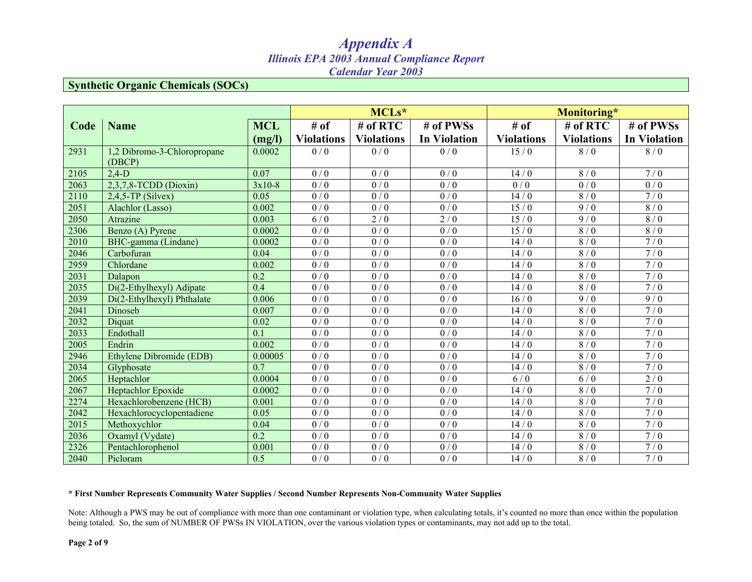#### **Synthetic Organic Chemicals (SOCs)**

|      |                                       |                  |                   | MCLs*             |                     |                   | Monitoring*       |                     |
|------|---------------------------------------|------------------|-------------------|-------------------|---------------------|-------------------|-------------------|---------------------|
| Code | <b>Name</b>                           | <b>MCL</b>       | # of              | # of RTC          | # of PWSs           | # of              | # of RTC          | # of PWSs           |
|      |                                       | (mg/l)           | <b>Violations</b> | <b>Violations</b> | <b>In Violation</b> | <b>Violations</b> | <b>Violations</b> | <b>In Violation</b> |
| 2931 | 1,2 Dibromo-3-Chloropropane<br>(DBCP) | 0.0002           | 0/0               | 0/0               | 0/0                 | 15/0              | 8/0               | 8/0                 |
| 2105 | $2,4-D$                               | 0.07             | 0/0               | 0/0               | 0/0                 | 14/0              | 8/0               | 7/0                 |
| 2063 | $2,3,7,8$ -TCDD (Dioxin)              | $3x10-8$         | $\overline{0/0}$  | $\overline{0/0}$  | $\overline{0/0}$    | $\overline{0/0}$  | $\overline{0/0}$  | $\overline{0/0}$    |
| 2110 | $2,4,5$ -TP (Silvex)                  | 0.05             | 0/0               | 0/0               | 0/0                 | 14/0              | 8/0               | 7/0                 |
| 2051 | Alachlor (Lasso)                      | 0.002            | 0/0               | $\overline{0/0}$  | 0/0                 | 15/0              | 9/0               | 8/0                 |
| 2050 | Atrazine                              | 0.003            | 6/0               | $2/0$             | 2/0                 | 15/0              | 9/0               | $8\mathbin{/}0$     |
| 2306 | Benzo (A) Pyrene                      | 0.0002           | 0/0               | 0/0               | 0/0                 | 15/0              | 8/0               | 8/0                 |
| 2010 | BHC-gamma (Lindane)                   | 0.0002           | 0/0               | 0/0               | 0/0                 | 14/0              | 8/0               | 7/0                 |
| 2046 | Carbofuran                            | 0.04             | 0/0               | 0/0               | $\overline{0/0}$    | 14/0              | 8/0               | 7/0                 |
| 2959 | Chlordane                             | 0.002            | 0/0               | 0/0               | 0/0                 | 14/0              | 8/0               | 7/0                 |
| 2031 | Dalapon                               | 0.2              | 0/0               | 0/0               | 0/0                 | 14/0              | 8/0               | 7/0                 |
| 2035 | Di(2-Ethylhexyl) Adipate              | 0.4              | 0/0               | 0/0               | 0/0                 | 14/0              | 8/0               | 7/0                 |
| 2039 | Di(2-Ethylhexyl) Phthalate            | 0.006            | 0/0               | 0/0               | 0/0                 | 16/0              | 9/0               | $\overline{9/0}$    |
| 2041 | Dinoseb                               | 0.007            | 0/0               | 0/0               | $\overline{0/0}$    | 14/0              | 8/0               | 7/0                 |
| 2032 | Diquat                                | 0.02             | 0/0               | 0/0               | 0/0                 | 14/0              | 8/0               | 7/0                 |
| 2033 | Endothall                             | 0.1              | 0/0               | 0/0               | 0/0                 | 14/0              | 8/0               | 7/0                 |
| 2005 | Endrin                                | 0.002            | 0/0               | 0/0               | 0/0                 | 14/0              | 8/0               | 7/0                 |
| 2946 | Ethylene Dibromide (EDB)              | 0.00005          | 0/0               | 0/0               | 0/0                 | 14/0              | 8/0               | 7/0                 |
| 2034 | Glyphosate                            | 0.7              | 0/0               | $\frac{1}{0}$ / 0 | 0/0                 | 14/0              | 8/0               | 7/0                 |
| 2065 | Heptachlor                            | 0.0004           | 0/0               | 0/0               | 0/0                 | 6/0               | 6/0               | 2/0                 |
| 2067 | Heptachlor Epoxide                    | 0.0002           | 0/0               | 0/0               | 0/0                 | 14/0              | 8/0               | 7/0                 |
| 2274 | Hexachlorobenzene (HCB)               | 0.001            | 0/0               | 0/0               | $\overline{0/0}$    | 14/0              | 8/0               | 7/0                 |
| 2042 | Hexachlorocyclopentadiene             | 0.05             | 0/0               | 0/0               | 0/0                 | 14/0              | 8/0               | 7/0                 |
| 2015 | Methoxychlor                          | 0.04             | $\overline{0/0}$  | $\overline{0/0}$  | $\overline{0/0}$    | 14/0              | $\overline{8/0}$  | 7/0                 |
| 2036 | Oxamyl (Vydate)                       | $\overline{0.2}$ | 0/0               | 0/0               | 0/0                 | 14/0              | 8/0               | 7/0                 |
| 2326 | Pentachlorophenol                     | 0.001            | 0/0               | 0/0               | $\frac{1}{0}$ / 0   | 14/0              | 8/0               | 7/0                 |
| 2040 | Picloram                              | 0.5              | 0/0               | 0/0               | 0/0                 | 14/0              | 8/0               | 7/0                 |

#### **\* First Number Represents Community Water Supplies / Second Number Represents Non-Community Water Supplies**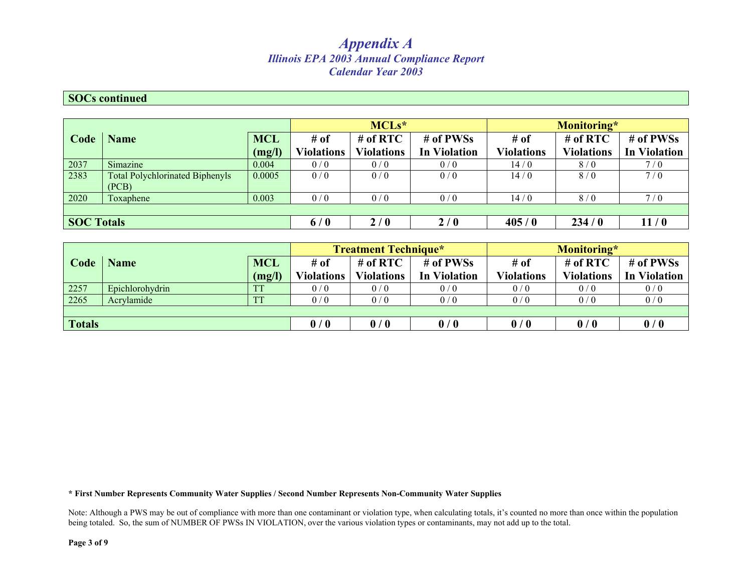#### **SOCs continued**

|                   |                                                 |            |                   | $MCLs*$           |                     |                   | Monitoring*       |                     |  |
|-------------------|-------------------------------------------------|------------|-------------------|-------------------|---------------------|-------------------|-------------------|---------------------|--|
| Code              | <b>Name</b>                                     | <b>MCL</b> | $#$ of            | $#$ of RTC        | # of PWSs           | $#$ of            | $#$ of RTC        | # of PWSs           |  |
|                   |                                                 | (mg/l)     | <b>Violations</b> | <b>Violations</b> | <b>In Violation</b> | <b>Violations</b> | <b>Violations</b> | <b>In Violation</b> |  |
| 2037              | Simazine                                        | 0.004      | 0/0               | 0/0               | 0/0                 | 14/0              | 8/0               | 7/0                 |  |
| 2383              | <b>Total Polychlorinated Biphenyls</b><br>(PCB) | 0.0005     | 0/0               | 0/0               | 0/0                 | 14/0              | 8/0               | 7/0                 |  |
| 2020              | Toxaphene                                       | 0.003      | 0/0               | 0/0               | 0/0                 | 14/0              | 8/0               | 7/0                 |  |
|                   |                                                 |            |                   |                   |                     |                   |                   |                     |  |
| <b>SOC Totals</b> |                                                 |            | 6/0               | 2/0               | 2/0                 | 405/0             | 234/0             | 11/0                |  |

|        |                 |            | <b>Treatment Technique*</b> |                   |                     | Monitoring*       |                   |                     |
|--------|-----------------|------------|-----------------------------|-------------------|---------------------|-------------------|-------------------|---------------------|
| Code   | <b>Name</b>     | <b>MCL</b> | $#$ of                      | $#$ of RTC        | # of PWSs           | # of              | # of $RTC$        | # of PWSs           |
|        |                 | (mg/l)     | <b>Violations</b>           | <b>Violations</b> | <b>In Violation</b> | <b>Violations</b> | <b>Violations</b> | <b>In Violation</b> |
| 2257   | Epichlorohydrin |            | 0/0                         | 0/0               | 0/0                 | 0/0               | 0/0               | 0/0                 |
| 2265   | Acrylamide      |            | 0/0                         | 0/0               | 0/0                 | 0/0               | 0/0               | 0/0                 |
|        |                 |            |                             |                   |                     |                   |                   |                     |
| Totals |                 |            | 0/0                         | 0/0               | 0/0                 | 0/0               | 0/0               | 0/0                 |

#### **\* First Number Represents Community Water Supplies / Second Number Represents Non-Community Water Supplies**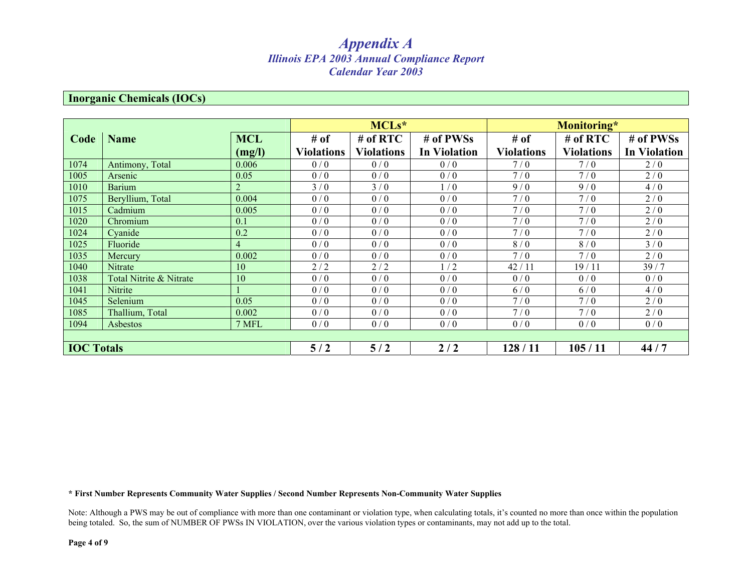#### **Inorganic Chemicals (IOCs)**

|                   |                         |                |                   | MCLs*             |                     |                   | Monitoring*       |                     |
|-------------------|-------------------------|----------------|-------------------|-------------------|---------------------|-------------------|-------------------|---------------------|
| Code              | <b>Name</b>             | <b>MCL</b>     | # of              | # of RTC          | # of PWSs           | # of              | $#$ of RTC        | # of PWSs           |
|                   |                         | (mg/l)         | <b>Violations</b> | <b>Violations</b> | <b>In Violation</b> | <b>Violations</b> | <b>Violations</b> | <b>In Violation</b> |
| 1074              | Antimony, Total         | 0.006          | 0/0               | 0/0               | 0/0                 | 7/0               | 7/0               | 2/0                 |
| 1005              | Arsenic                 | 0.05           | 0/0               | 0/0               | 0/0                 | 7/0               | 7/0               | 2/0                 |
| 1010              | <b>Barium</b>           | 2              | 3/0               | 3/0               | 1/0                 | 9/0               | 9/0               | 4/0                 |
| 1075              | Beryllium, Total        | 0.004          | 0/0               | 0/0               | 0/0                 | 7/0               | 7/0               | 2/0                 |
| 1015              | Cadmium                 | 0.005          | 0/0               | 0/0               | 0/0                 | 7/0               | 7/0               | 2/0                 |
| 1020              | Chromium                | 0.1            | 0/0               | 0/0               | 0/0                 | 7/0               | 7/0               | 2/0                 |
| 1024              | Cyanide                 | 0.2            | 0/0               | 0/0               | 0/0                 | 7/0               | 7/0               | 2/0                 |
| 1025              | Fluoride                | $\overline{4}$ | 0/0               | 0/0               | 0/0                 | 8/0               | 8/0               | 3/0                 |
| 1035              | Mercury                 | 0.002          | 0/0               | 0/0               | 0/0                 | 7/0               | 7/0               | 2/0                 |
| 1040              | Nitrate                 | 10             | 2/2               | 2/2               | 1/2                 | 42/11             | 19/11             | 39/7                |
| 1038              | Total Nitrite & Nitrate | 10             | 0/0               | 0/0               | 0/0                 | 0/0               | 0/0               | 0/0                 |
| 1041              | Nitrite                 |                | 0/0               | 0/0               | 0/0                 | 6/0               | 6/0               | 4/0                 |
| 1045              | Selenium                | 0.05           | 0/0               | 0/0               | 0/0                 | 7/0               | 7/0               | 2/0                 |
| 1085              | Thallium, Total         | 0.002          | 0/0               | 0/0               | 0/0                 | 7/0               | 7/0               | 2/0                 |
| 1094              | Asbestos                | 7 MFL          | 0/0               | 0/0               | 0/0                 | 0/0               | 0/0               | 0/0                 |
|                   |                         |                |                   |                   |                     |                   |                   |                     |
| <b>IOC Totals</b> |                         |                | 5/2               | 5/2               | 2/2                 | 128/11            | 105/11            | 44/7                |

**\* First Number Represents Community Water Supplies / Second Number Represents Non-Community Water Supplies**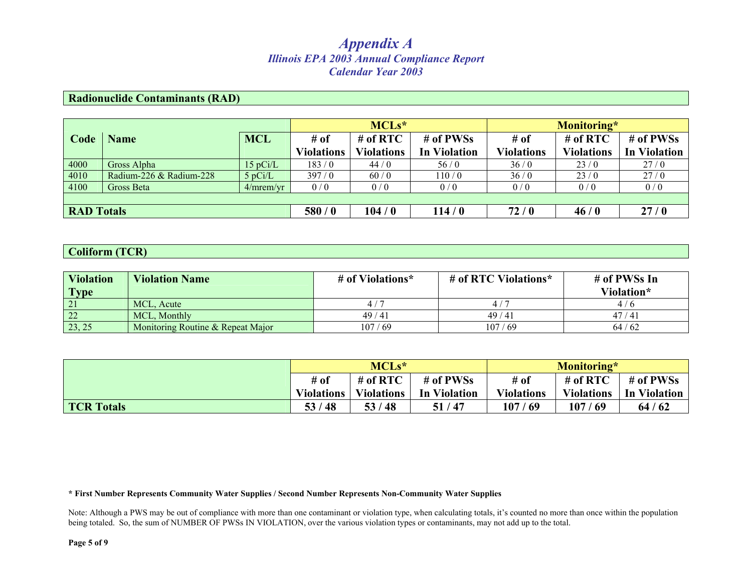#### **Radionuclide Contaminants (RAD)**

|                   |                         |            | $MCLs^*$          |                   |                     | Monitoring*       |                   |                     |  |
|-------------------|-------------------------|------------|-------------------|-------------------|---------------------|-------------------|-------------------|---------------------|--|
| Code              | <b>Name</b>             | <b>MCL</b> | $#$ of            | $#$ of RTC        | # of PWSs           | # of              | # of $RTC$        | # of PWSs           |  |
|                   |                         |            | <b>Violations</b> | <b>Violations</b> | <b>In Violation</b> | <b>Violations</b> | <b>Violations</b> | <b>In Violation</b> |  |
| 4000              | Gross Alpha             | 15 pCi/L   | 183/0             | 44/0              | 56/0                | 36/0              | 23/0              | 27/0                |  |
| 4010              | Radium-226 & Radium-228 | $5$ pCi/L  | 397/0             | 60/0              | 110/0               | 36/0              | 23/0              | 27/0                |  |
| 4100              | Gross Beta              | 4/mrem/vr  | 0/0               | 0/0               | 0/0                 | 0/0               | 0/0               | 0/0                 |  |
|                   |                         |            |                   |                   |                     |                   |                   |                     |  |
| <b>RAD</b> Totals |                         |            | 580/0             | 104/0             | 114/0               | 72/0              | 46/0              | 27/0                |  |

#### **Coliform (TCR)**

| <b>Violation</b><br><b>Type</b> | <b>Violation Name</b>             | # of Violations* | # of RTC Violations* | # of PWSs In<br>Violation* |
|---------------------------------|-----------------------------------|------------------|----------------------|----------------------------|
|                                 | MCL. Acute                        |                  |                      |                            |
|                                 | MCL, Monthly                      | 49/41            | 49/41                | 47/41                      |
| 23, 25                          | Monitoring Routine & Repeat Major | 107/69           | 107/69               | 64/62                      |

|                   | $MCLs*$           |                                          |                     | Monitoring*       |            |              |
|-------------------|-------------------|------------------------------------------|---------------------|-------------------|------------|--------------|
|                   | # of              | # of $RTC$                               | # of PWSs           | # of              | # of $RTC$ | # of PWSs    |
|                   | <b>Violations</b> | $\blacksquare$ Violations $\blacksquare$ | <b>In Violation</b> | <b>Violations</b> | Violations | In Violation |
| <b>TCR Totals</b> | 53/48             | 53/48                                    | 51/47               | 107/69            | 107/69     | 64/62        |

**\* First Number Represents Community Water Supplies / Second Number Represents Non-Community Water Supplies** 

Note: Although a PWS may be out of compliance with more than one contaminant or violation type, when calculating totals, it's counted no more than once within the population being totaled. So, the sum of NUMBER OF PWSs IN VIOLATION, over the various violation types or contaminants, may not add up to the total.

**Page 5 of 9**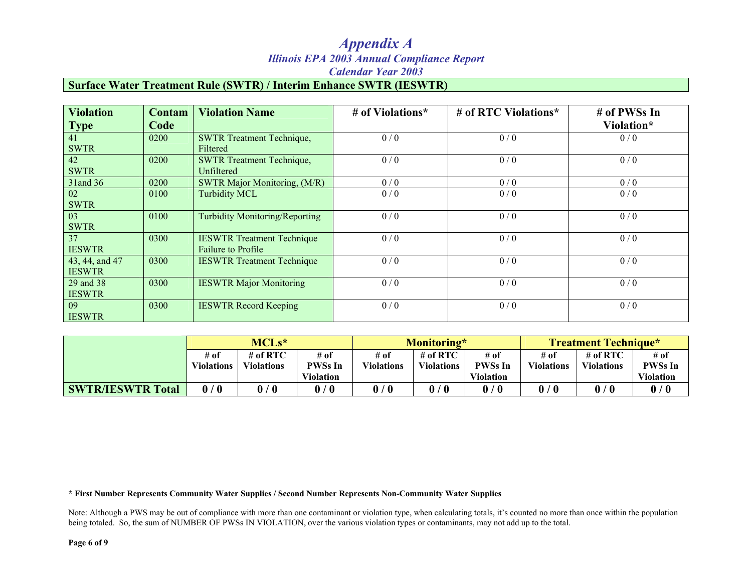#### **Surface Water Treatment Rule (SWTR) / Interim Enhance SWTR (IESWTR)**

| <b>Violation</b> | Contam | <b>Violation Name</b>                 | # of Violations* | # of RTC Violations* | # of PWSs In |
|------------------|--------|---------------------------------------|------------------|----------------------|--------------|
| <b>Type</b>      | Code   |                                       |                  |                      | Violation*   |
| 41               | 0200   | <b>SWTR Treatment Technique,</b>      | 0/0              | 0/0                  | 0/0          |
| <b>SWTR</b>      |        | Filtered                              |                  |                      |              |
| 42               | 0200   | <b>SWTR Treatment Technique,</b>      | 0/0              | 0/0                  | 0/0          |
| <b>SWTR</b>      |        | Unfiltered                            |                  |                      |              |
| 31 and 36        | 0200   | SWTR Major Monitoring, (M/R)          | 0/0              | 0/0                  | 0/0          |
| 02               | 0100   | <b>Turbidity MCL</b>                  | 0/0              | 0/0                  | 0/0          |
| <b>SWTR</b>      |        |                                       |                  |                      |              |
| 03               | 0100   | <b>Turbidity Monitoring/Reporting</b> | 0/0              | 0/0                  | 0/0          |
| <b>SWTR</b>      |        |                                       |                  |                      |              |
| 37               | 0300   | <b>IESWTR Treatment Technique</b>     | 0/0              | 0/0                  | 0/0          |
| <b>IESWTR</b>    |        | <b>Failure to Profile</b>             |                  |                      |              |
| 43, 44, and 47   | 0300   | <b>IESWTR Treatment Technique</b>     | 0/0              | 0/0                  | 0/0          |
| <b>IESWTR</b>    |        |                                       |                  |                      |              |
| 29 and 38        | 0300   | <b>IESWTR Major Monitoring</b>        | 0/0              | 0/0                  | 0/0          |
| <b>IESWTR</b>    |        |                                       |                  |                      |              |
| 09               | 0300   | <b>IESWTR Record Keeping</b>          | 0/0              | 0/0                  | 0/0          |
| <b>IESWTR</b>    |        |                                       |                  |                      |              |

|                          | $MCLs*$           |                   | Monitoring*      |                   |                       | <b>Treatment Technique*</b> |                   |                   |                  |
|--------------------------|-------------------|-------------------|------------------|-------------------|-----------------------|-----------------------------|-------------------|-------------------|------------------|
|                          | # of              | # of RTC          | # of             | # of              | # of $RTC$            | # of                        | # of              | # of RTC          | # of             |
|                          | <b>Violations</b> | <b>Violations</b> | <b>PWSs In</b>   | <b>Violations</b> | <b>Violations</b>     | <b>PWSs In</b>              | <b>Violations</b> | <b>Violations</b> | <b>PWSs In</b>   |
|                          |                   |                   | <b>Violation</b> |                   |                       | <b>Violation</b>            |                   |                   | <b>Violation</b> |
| <b>SWTR/IESWTR Total</b> | 0/0               | 0/0               | 0/0              | 0/0               | 0<br>$\boldsymbol{0}$ | 0/0                         |                   | 0/0               | 0/0              |

**\* First Number Represents Community Water Supplies / Second Number Represents Non-Community Water Supplies** 

Note: Although a PWS may be out of compliance with more than one contaminant or violation type, when calculating totals, it's counted no more than once within the population being totaled. So, the sum of NUMBER OF PWSs IN VIOLATION, over the various violation types or contaminants, may not add up to the total.

**Page 6 of 9**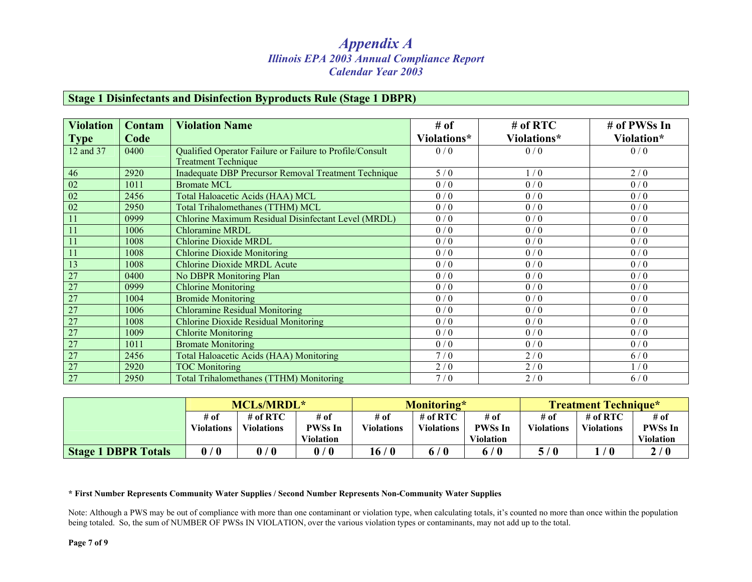#### **Stage 1 Disinfectants and Disinfection Byproducts Rule (Stage 1 DBPR)**

| <b>Violation</b> | <b>Contam</b> | <b>Violation Name</b>                                       | # of        | $#$ of RTC  | # of PWSs In |
|------------------|---------------|-------------------------------------------------------------|-------------|-------------|--------------|
| <b>Type</b>      | Code          |                                                             | Violations* | Violations* | Violation*   |
| 12 and 37        | 0400          | Qualified Operator Failure or Failure to Profile/Consult    | 0/0         | 0/0         | 0/0          |
|                  |               | <b>Treatment Technique</b>                                  |             |             |              |
| 46               | 2920          | <b>Inadequate DBP Precursor Removal Treatment Technique</b> | 5/0         | 1/0         | 2/0          |
| $\overline{02}$  | 1011          | <b>Bromate MCL</b>                                          | 0/0         | 0/0         | 0/0          |
| 02               | 2456          | Total Haloacetic Acids (HAA) MCL                            | 0/0         | 0/0         | 0/0          |
| 02               | 2950          | Total Trihalomethanes (TTHM) MCL                            | 0/0         | 0/0         | 0/0          |
| 11               | 0999          | Chlorine Maximum Residual Disinfectant Level (MRDL)         | 0/0         | 0/0         | 0/0          |
| 11               | 1006          | <b>Chloramine MRDL</b>                                      | 0/0         | 0/0         | 0/0          |
| 11               | 1008          | <b>Chlorine Dioxide MRDL</b>                                | 0/0         | 0/0         | 0/0          |
| 11               | 1008          | <b>Chlorine Dioxide Monitoring</b>                          | 0/0         | 0/0         | 0/0          |
| 13               | 1008          | <b>Chlorine Dioxide MRDL Acute</b>                          | 0/0         | 0/0         | 0/0          |
| 27               | 0400          | No DBPR Monitoring Plan                                     | 0/0         | 0/0         | 0/0          |
| $\overline{27}$  | 0999          | <b>Chlorine Monitoring</b>                                  | 0/0         | 0/0         | 0/0          |
| 27               | 1004          | <b>Bromide Monitoring</b>                                   | 0/0         | 0/0         | 0/0          |
| $\overline{27}$  | 1006          | <b>Chloramine Residual Monitoring</b>                       | 0/0         | 0/0         | 0/0          |
| 27               | 1008          | Chlorine Dioxide Residual Monitoring                        | 0/0         | 0/0         | 0/0          |
| 27               | 1009          | <b>Chlorite Monitoring</b>                                  | 0/0         | 0/0         | 0/0          |
| 27               | 1011          | <b>Bromate Monitoring</b>                                   | 0/0         | 0/0         | 0/0          |
| 27               | 2456          | <b>Total Haloacetic Acids (HAA) Monitoring</b>              | 7/0         | 2/0         | 6/0          |
| $\overline{27}$  | 2920          | <b>TOC</b> Monitoring                                       | 2/0         | 2/0         | 1/0          |
| 27               | 2950          | <b>Total Trihalomethanes (TTHM) Monitoring</b>              | 7/0         | 2/0         | 6/0          |

|                            | <b>MCLs/MRDL*</b> |                   | Monitoring*                     |                   |                   | <b>Treatment Technique*</b>    |                   |                   |                  |
|----------------------------|-------------------|-------------------|---------------------------------|-------------------|-------------------|--------------------------------|-------------------|-------------------|------------------|
|                            | # of              | # of $RTC$        | # of                            | # of              | # of RTC          | # of                           | # of              | # of RTC          | # of             |
|                            | <b>Violations</b> | <b>Violations</b> | <b>PWSs In</b>                  | <b>Violations</b> | <b>Violations</b> | <b>PWSs In</b>                 | <b>Violations</b> | <b>Violations</b> | <b>PWSs In</b>   |
|                            |                   |                   | <b>Violation</b>                |                   |                   | <b>Violation</b>               |                   |                   | <b>Violation</b> |
| <b>Stage 1 DBPR Totals</b> | 0/0               | 0/0               | $\mathbf 0$<br>$\boldsymbol{0}$ | 16/0              | 6 / 0             | $^{\prime}$ ()<br>$\mathbf{0}$ | 5/0               |                   | 2/0              |

#### **\* First Number Represents Community Water Supplies / Second Number Represents Non-Community Water Supplies**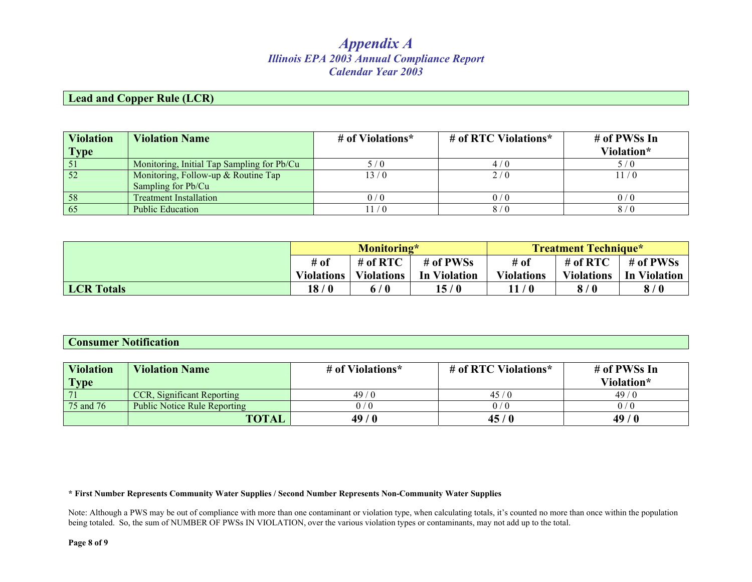#### **Lead and Copper Rule (LCR)**

| <b>Violation</b><br><b>Type</b> | <b>Violation Name</b>                      | # of Violations* | # of RTC Violations* | # of PWSs In<br>Violation* |
|---------------------------------|--------------------------------------------|------------------|----------------------|----------------------------|
|                                 | Monitoring, Initial Tap Sampling for Pb/Cu | 5/0              | 4/0                  | $\sqrt{0}$                 |
| 52                              | Monitoring, Follow-up & Routine Tap        | 13/0             | 2/0                  | 11/0                       |
|                                 | Sampling for Pb/Cu                         |                  |                      |                            |
| 58                              | <b>Treatment Installation</b>              | 0/0              | 0/0                  | 0 / 0                      |
| 65                              | <b>Public Education</b>                    | 1/0              | 8/0                  | 8 / 0                      |

|                   | Monitoring*                     |                   |                     | <b>Treatment Technique*</b> |                   |              |  |
|-------------------|---------------------------------|-------------------|---------------------|-----------------------------|-------------------|--------------|--|
|                   | # of<br># of $RTC$<br># of PWSs |                   |                     | # of                        | # of $RTC$        | # of PWSs    |  |
|                   | <b>Violations</b>               | <b>Violations</b> | <b>In Violation</b> | <b>Violations</b>           | <b>Violations</b> | In Violation |  |
| <b>LCR</b> Totals | 18/0                            | 6 / 0             | 15/0                | 11/0                        | 8/0               | 8/0          |  |

#### **Consumer Notification**

| Violation<br><b>Type</b> | <b>Violation Name</b>             | # of Violations* | # of RTC Violations* | # of PWSs In<br>Violation* |
|--------------------------|-----------------------------------|------------------|----------------------|----------------------------|
| 171                      | <b>CCR, Significant Reporting</b> | 49/0             | 45/0                 | 49/0                       |
| 75 and 76                | Public Notice Rule Reporting      | 0/0              | 0 / 0                |                            |
|                          | <b>TOTAL</b>                      | 49/0             | 45/0                 | 49/0                       |

#### **\* First Number Represents Community Water Supplies / Second Number Represents Non-Community Water Supplies**

Note: Although a PWS may be out of compliance with more than one contaminant or violation type, when calculating totals, it's counted no more than once within the population being totaled. So, the sum of NUMBER OF PWSs IN VIOLATION, over the various violation types or contaminants, may not add up to the total.

**Page 8 of 9**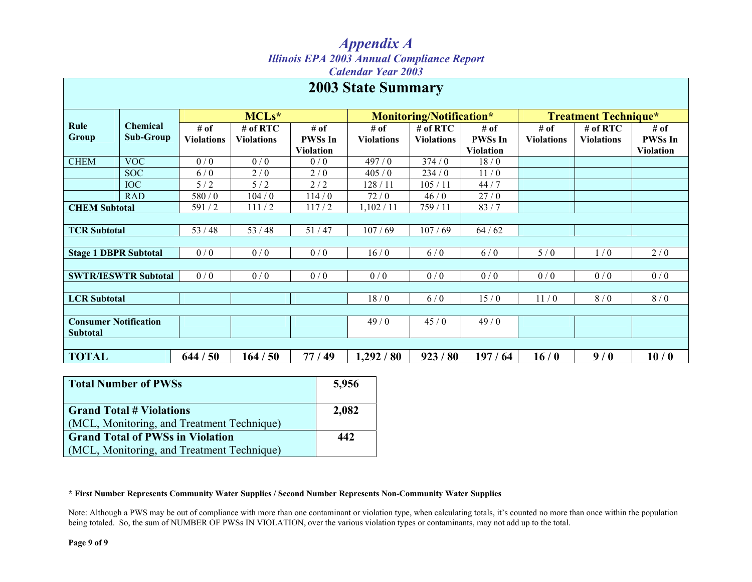### *Appendix A Illinois EPA 2003 Annual Compliance Report*

*Calendar Year 2003* 

|                                                 |                                     |                           |                                 |                                            | <b>2003 State Summary</b> |                                 |                                            |                             |                                 |                                            |
|-------------------------------------------------|-------------------------------------|---------------------------|---------------------------------|--------------------------------------------|---------------------------|---------------------------------|--------------------------------------------|-----------------------------|---------------------------------|--------------------------------------------|
|                                                 |                                     | MCLs*                     |                                 |                                            |                           | Monitoring/Notification*        |                                            | <b>Treatment Technique*</b> |                                 |                                            |
| Rule<br>Group                                   | <b>Chemical</b><br><b>Sub-Group</b> | # of<br><b>Violations</b> | $#$ of RTC<br><b>Violations</b> | # of<br><b>PWSs In</b><br><b>Violation</b> | # of<br><b>Violations</b> | $#$ of RTC<br><b>Violations</b> | # of<br><b>PWSs In</b><br><b>Violation</b> | # of<br><b>Violations</b>   | $#$ of RTC<br><b>Violations</b> | # of<br><b>PWSs In</b><br><b>Violation</b> |
| <b>CHEM</b>                                     | <b>VOC</b>                          | 0/0                       | 0/0                             | 0/0                                        | 497/0                     | 374/0                           | 18/0                                       |                             |                                 |                                            |
|                                                 | <b>SOC</b>                          | 6/0                       | 2/0                             | 2/0                                        | 405/0                     | 234/0                           | 11/0                                       |                             |                                 |                                            |
|                                                 | <b>IOC</b>                          | 5/2                       | 5/2                             | 2/2                                        | 128 / 11                  | 105/11                          | 44/7                                       |                             |                                 |                                            |
|                                                 | <b>RAD</b>                          | 580 / 0                   | 104/0                           | 114/0                                      | 72/0                      | 46/0                            | 27/0                                       |                             |                                 |                                            |
| <b>CHEM Subtotal</b>                            |                                     | 591/2                     | 111/2                           | 117/2                                      | 1,102/11                  | 759 / 11                        | 83/7                                       |                             |                                 |                                            |
|                                                 |                                     |                           |                                 |                                            |                           |                                 |                                            |                             |                                 |                                            |
| <b>TCR Subtotal</b>                             |                                     | 53/48                     | 53/48                           | 51/47                                      | 107/69                    | 107/69                          | $64/62$                                    |                             |                                 |                                            |
|                                                 |                                     |                           |                                 |                                            |                           |                                 |                                            |                             |                                 |                                            |
| <b>Stage 1 DBPR Subtotal</b>                    |                                     | 0/0                       | 0/0                             | 0/0                                        | 16/0                      | 6/0                             | 6/0                                        | 5/0                         | 1/0                             | 2/0                                        |
|                                                 |                                     |                           |                                 |                                            |                           |                                 |                                            |                             |                                 |                                            |
|                                                 | <b>SWTR/IESWTR Subtotal</b>         | 0/0                       | 0/0                             | 0/0                                        | 0/0                       | 0/0                             | 0/0                                        | 0/0                         | 0/0                             | 0/0                                        |
|                                                 |                                     |                           |                                 |                                            |                           |                                 |                                            |                             |                                 |                                            |
| <b>LCR</b> Subtotal                             |                                     |                           |                                 |                                            | 18/0                      | 6/0                             | 15/0                                       | 11/0                        | 8/0                             | 8/0                                        |
|                                                 |                                     |                           |                                 |                                            |                           |                                 |                                            |                             |                                 |                                            |
| <b>Consumer Notification</b><br><b>Subtotal</b> |                                     |                           |                                 |                                            | 49/0                      | 45/0                            | 49/0                                       |                             |                                 |                                            |
|                                                 |                                     |                           |                                 |                                            |                           |                                 |                                            |                             |                                 |                                            |
| <b>TOTAL</b>                                    |                                     | 644/50                    | 164/50                          | 77/49                                      | 1,292/80                  | 923/80                          | 197/64                                     | 16/0                        | 9/0                             | 10/0                                       |

| <b>Total Number of PWSs</b>                | 5,956 |
|--------------------------------------------|-------|
| <b>Grand Total # Violations</b>            | 2,082 |
| (MCL, Monitoring, and Treatment Technique) |       |
| <b>Grand Total of PWSs in Violation</b>    | 442   |
| (MCL, Monitoring, and Treatment Technique) |       |

#### **\* First Number Represents Community Water Supplies / Second Number Represents Non-Community Water Supplies**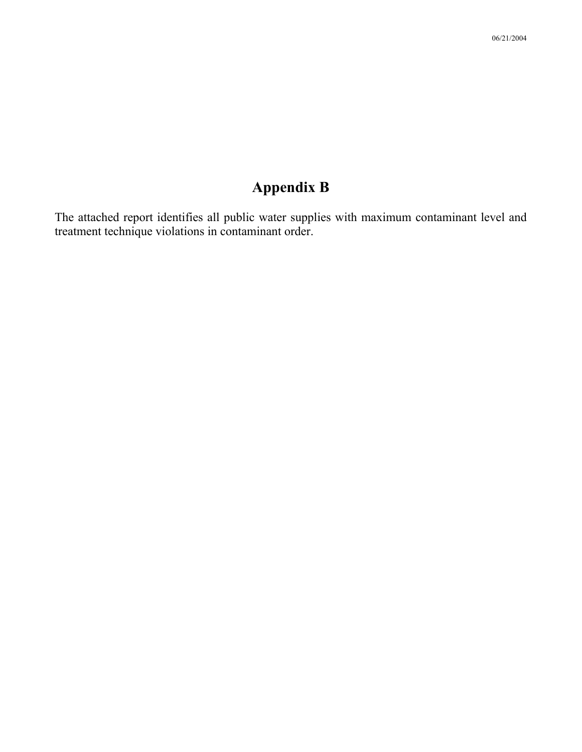The attached report identifies all public water supplies with maximum contaminant level and treatment technique violations in contaminant order.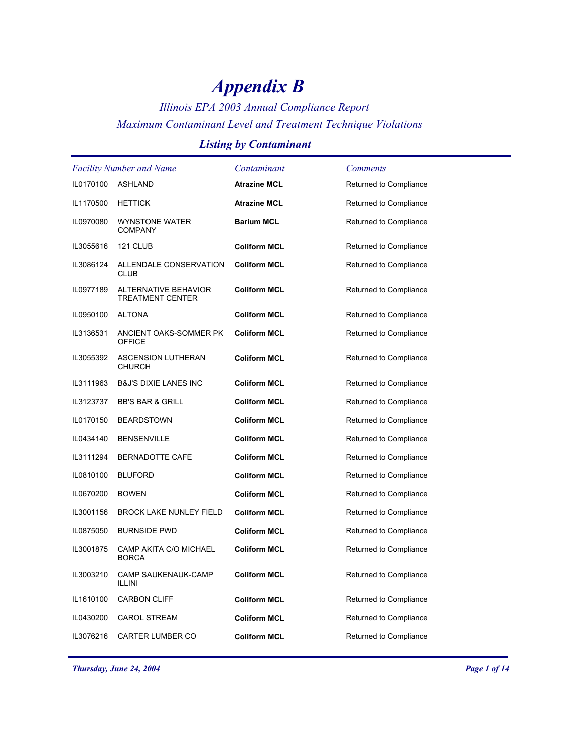### *Illinois EPA 2003 Annual Compliance Report Maximum Contaminant Level and Treatment Technique Violations*

#### *Listing by Contaminant*

|           | <b>Facility Number and Name</b>                 | Contaminant         | <u>Comments</u>        |
|-----------|-------------------------------------------------|---------------------|------------------------|
| IL0170100 | ASHLAND                                         | <b>Atrazine MCL</b> | Returned to Compliance |
| IL1170500 | <b>HETTICK</b>                                  | <b>Atrazine MCL</b> | Returned to Compliance |
| IL0970080 | <b>WYNSTONE WATER</b><br><b>COMPANY</b>         | <b>Barium MCL</b>   | Returned to Compliance |
| IL3055616 | 121 CLUB                                        | <b>Coliform MCL</b> | Returned to Compliance |
| IL3086124 | ALLENDALE CONSERVATION<br><b>CLUB</b>           | <b>Coliform MCL</b> | Returned to Compliance |
| IL0977189 | ALTERNATIVE BEHAVIOR<br><b>TREATMENT CENTER</b> | <b>Coliform MCL</b> | Returned to Compliance |
| IL0950100 | <b>ALTONA</b>                                   | <b>Coliform MCL</b> | Returned to Compliance |
| IL3136531 | ANCIENT OAKS-SOMMER PK<br><b>OFFICE</b>         | <b>Coliform MCL</b> | Returned to Compliance |
| IL3055392 | <b>ASCENSION LUTHERAN</b><br><b>CHURCH</b>      | <b>Coliform MCL</b> | Returned to Compliance |
| IL3111963 | <b>B&amp;J'S DIXIE LANES INC</b>                | <b>Coliform MCL</b> | Returned to Compliance |
| IL3123737 | <b>BB'S BAR &amp; GRILL</b>                     | <b>Coliform MCL</b> | Returned to Compliance |
| IL0170150 | <b>BEARDSTOWN</b>                               | <b>Coliform MCL</b> | Returned to Compliance |
| IL0434140 | <b>BENSENVILLE</b>                              | <b>Coliform MCL</b> | Returned to Compliance |
| IL3111294 | BERNADOTTE CAFE                                 | <b>Coliform MCL</b> | Returned to Compliance |
| IL0810100 | <b>BLUFORD</b>                                  | <b>Coliform MCL</b> | Returned to Compliance |
| IL0670200 | <b>BOWEN</b>                                    | <b>Coliform MCL</b> | Returned to Compliance |
| IL3001156 | <b>BROCK LAKE NUNLEY FIELD</b>                  | <b>Coliform MCL</b> | Returned to Compliance |
| IL0875050 | <b>BURNSIDE PWD</b>                             | <b>Coliform MCL</b> | Returned to Compliance |
| IL3001875 | CAMP AKITA C/O MICHAEL<br><b>BORCA</b>          | <b>Coliform MCL</b> | Returned to Compliance |
| IL3003210 | CAMP SAUKENAUK-CAMP<br>ILLINI                   | <b>Coliform MCL</b> | Returned to Compliance |
| IL1610100 | <b>CARBON CLIFF</b>                             | <b>Coliform MCL</b> | Returned to Compliance |
| IL0430200 | <b>CAROL STREAM</b>                             | <b>Coliform MCL</b> | Returned to Compliance |
| IL3076216 | CARTER LUMBER CO                                | <b>Coliform MCL</b> | Returned to Compliance |

*Thursday, June 24, 2004 Page 1 of 14*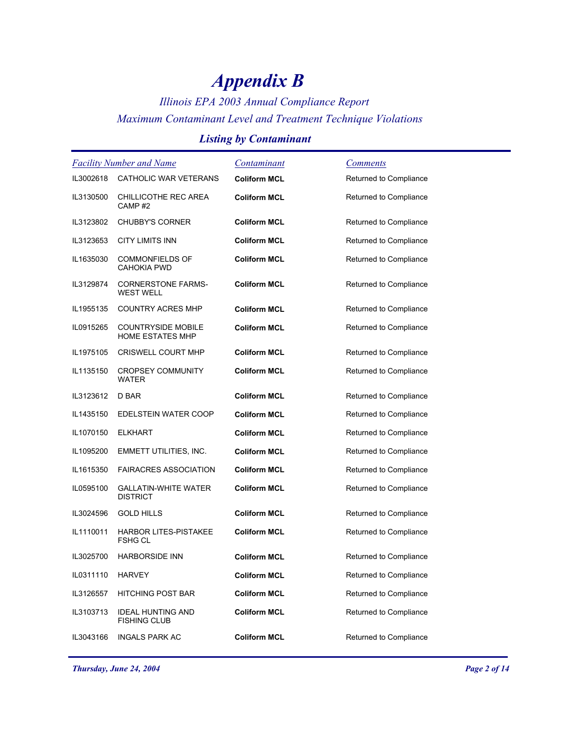## *Illinois EPA 2003 Annual Compliance Report Maximum Contaminant Level and Treatment Technique Violations*

### *Listing by Contaminant*

| <b>Facility Number and Name</b> |                                                      | <u>Contaminant</u>  | <u>Comments</u>        |
|---------------------------------|------------------------------------------------------|---------------------|------------------------|
| IL3002618                       | CATHOLIC WAR VETERANS                                | <b>Coliform MCL</b> | Returned to Compliance |
| IL3130500                       | CHILLICOTHE REC AREA<br>CAMP#2                       | <b>Coliform MCL</b> | Returned to Compliance |
| IL3123802                       | <b>CHUBBY'S CORNER</b>                               | <b>Coliform MCL</b> | Returned to Compliance |
| IL3123653                       | CITY LIMITS INN                                      | <b>Coliform MCL</b> | Returned to Compliance |
| IL1635030                       | <b>COMMONFIELDS OF</b><br><b>CAHOKIA PWD</b>         | <b>Coliform MCL</b> | Returned to Compliance |
| IL3129874                       | <b>CORNERSTONE FARMS-</b><br><b>WEST WELL</b>        | <b>Coliform MCL</b> | Returned to Compliance |
| IL1955135                       | <b>COUNTRY ACRES MHP</b>                             | <b>Coliform MCL</b> | Returned to Compliance |
| IL0915265                       | <b>COUNTRYSIDE MOBILE</b><br><b>HOME ESTATES MHP</b> | <b>Coliform MCL</b> | Returned to Compliance |
| IL1975105                       | <b>CRISWELL COURT MHP</b>                            | <b>Coliform MCL</b> | Returned to Compliance |
| IL1135150                       | <b>CROPSEY COMMUNITY</b><br>WATER                    | Coliform MCL        | Returned to Compliance |
| IL3123612                       | D BAR                                                | <b>Coliform MCL</b> | Returned to Compliance |
| IL1435150                       | EDELSTEIN WATER COOP                                 | Coliform MCL        | Returned to Compliance |
| IL1070150                       | <b>ELKHART</b>                                       | <b>Coliform MCL</b> | Returned to Compliance |
| IL1095200                       | EMMETT UTILITIES, INC.                               | <b>Coliform MCL</b> | Returned to Compliance |
| IL1615350                       | <b>FAIRACRES ASSOCIATION</b>                         | <b>Coliform MCL</b> | Returned to Compliance |
| IL0595100                       | <b>GALLATIN-WHITE WATER</b><br><b>DISTRICT</b>       | <b>Coliform MCL</b> | Returned to Compliance |
| IL3024596                       | <b>GOLD HILLS</b>                                    | <b>Coliform MCL</b> | Returned to Compliance |
| IL1110011                       | <b>HARBOR LITES-PISTAKEE</b><br><b>FSHG CL</b>       | Coliform MCL        | Returned to Compliance |
| IL3025700                       | <b>HARBORSIDE INN</b>                                | <b>Coliform MCL</b> | Returned to Compliance |
| IL0311110                       | <b>HARVEY</b>                                        | <b>Coliform MCL</b> | Returned to Compliance |
| IL3126557                       | HITCHING POST BAR                                    | <b>Coliform MCL</b> | Returned to Compliance |
| IL3103713                       | <b>IDEAL HUNTING AND</b><br><b>FISHING CLUB</b>      | <b>Coliform MCL</b> | Returned to Compliance |
| IL3043166                       | <b>INGALS PARK AC</b>                                | <b>Coliform MCL</b> | Returned to Compliance |

*Thursday, June 24, 2004 Page 2 of 14*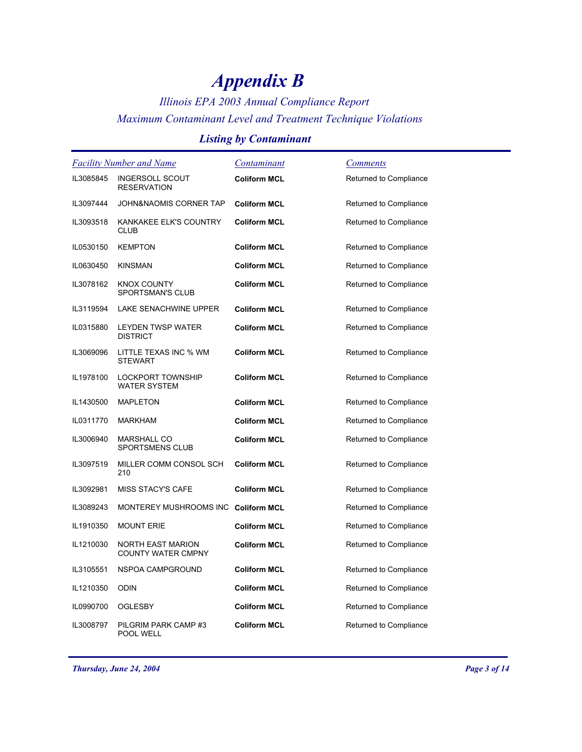*Illinois EPA 2003 Annual Compliance Report Maximum Contaminant Level and Treatment Technique Violations*

### *Listing by Contaminant*

|           | <b>Facility Number and Name</b>                       | <u>Contaminant</u>  | <b>Comments</b>        |
|-----------|-------------------------------------------------------|---------------------|------------------------|
| IL3085845 | <b>INGERSOLL SCOUT</b><br><b>RESERVATION</b>          | <b>Coliform MCL</b> | Returned to Compliance |
| IL3097444 | JOHN&NAOMIS CORNER TAP                                | <b>Coliform MCL</b> | Returned to Compliance |
| IL3093518 | KANKAKEE ELK'S COUNTRY<br><b>CLUB</b>                 | <b>Coliform MCL</b> | Returned to Compliance |
| IL0530150 | <b>KEMPTON</b>                                        | <b>Coliform MCL</b> | Returned to Compliance |
| IL0630450 | <b>KINSMAN</b>                                        | <b>Coliform MCL</b> | Returned to Compliance |
| IL3078162 | <b>KNOX COUNTY</b><br>SPORTSMAN'S CLUB                | <b>Coliform MCL</b> | Returned to Compliance |
| IL3119594 | LAKE SENACHWINE UPPER                                 | <b>Coliform MCL</b> | Returned to Compliance |
| IL0315880 | LEYDEN TWSP WATER<br><b>DISTRICT</b>                  | <b>Coliform MCL</b> | Returned to Compliance |
| IL3069096 | LITTLE TEXAS INC % WM<br><b>STEWART</b>               | <b>Coliform MCL</b> | Returned to Compliance |
| IL1978100 | LOCKPORT TOWNSHIP<br><b>WATER SYSTEM</b>              | <b>Coliform MCL</b> | Returned to Compliance |
| IL1430500 | <b>MAPLETON</b>                                       | <b>Coliform MCL</b> | Returned to Compliance |
| IL0311770 | MARKHAM                                               | <b>Coliform MCL</b> | Returned to Compliance |
| IL3006940 | <b>MARSHALL CO</b><br>SPORTSMENS CLUB                 | <b>Coliform MCL</b> | Returned to Compliance |
| IL3097519 | MILLER COMM CONSOL SCH<br>210                         | <b>Coliform MCL</b> | Returned to Compliance |
| IL3092981 | MISS STACY'S CAFE                                     | <b>Coliform MCL</b> | Returned to Compliance |
| IL3089243 | MONTEREY MUSHROOMS INC Coliform MCL                   |                     | Returned to Compliance |
| IL1910350 | <b>MOUNT ERIE</b>                                     | <b>Coliform MCL</b> | Returned to Compliance |
| IL1210030 | <b>NORTH EAST MARION</b><br><b>COUNTY WATER CMPNY</b> | <b>Coliform MCL</b> | Returned to Compliance |
| IL3105551 | NSPOA CAMPGROUND                                      | <b>Coliform MCL</b> | Returned to Compliance |
| IL1210350 | <b>ODIN</b>                                           | <b>Coliform MCL</b> | Returned to Compliance |
| IL0990700 | <b>OGLESBY</b>                                        | <b>Coliform MCL</b> | Returned to Compliance |
| IL3008797 | PILGRIM PARK CAMP#3<br>POOL WELL                      | <b>Coliform MCL</b> | Returned to Compliance |

*Thursday, June 24, 2004 Page 3 of 14*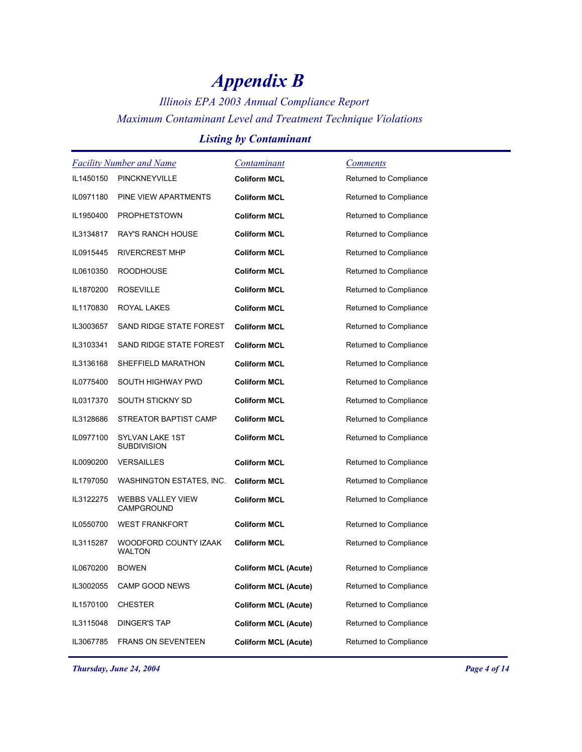## *Illinois EPA 2003 Annual Compliance Report Maximum Contaminant Level and Treatment Technique Violations*

### *Listing by Contaminant*

| <b>Facility Number and Name</b> |                                        | <u>Contaminant</u>          | <b>Comments</b>        |
|---------------------------------|----------------------------------------|-----------------------------|------------------------|
| IL1450150                       | PINCKNEYVILLE                          | <b>Coliform MCL</b>         | Returned to Compliance |
| IL0971180                       | PINE VIEW APARTMENTS                   | <b>Coliform MCL</b>         | Returned to Compliance |
| IL1950400                       | <b>PROPHETSTOWN</b>                    | <b>Coliform MCL</b>         | Returned to Compliance |
| IL3134817                       | <b>RAY'S RANCH HOUSE</b>               | <b>Coliform MCL</b>         | Returned to Compliance |
| IL0915445                       | <b>RIVERCREST MHP</b>                  | <b>Coliform MCL</b>         | Returned to Compliance |
| IL0610350                       | <b>ROODHOUSE</b>                       | <b>Coliform MCL</b>         | Returned to Compliance |
| IL1870200                       | <b>ROSEVILLE</b>                       | <b>Coliform MCL</b>         | Returned to Compliance |
| IL1170830                       | ROYAL LAKES                            | <b>Coliform MCL</b>         | Returned to Compliance |
| IL3003657                       | SAND RIDGE STATE FOREST                | <b>Coliform MCL</b>         | Returned to Compliance |
| IL3103341                       | SAND RIDGE STATE FOREST                | <b>Coliform MCL</b>         | Returned to Compliance |
| IL3136168                       | SHEFFIELD MARATHON                     | <b>Coliform MCL</b>         | Returned to Compliance |
| IL0775400                       | SOUTH HIGHWAY PWD                      | <b>Coliform MCL</b>         | Returned to Compliance |
| IL0317370                       | SOUTH STICKNY SD                       | <b>Coliform MCL</b>         | Returned to Compliance |
| IL3128686                       | STREATOR BAPTIST CAMP                  | <b>Coliform MCL</b>         | Returned to Compliance |
| IL0977100                       | SYLVAN LAKE 1ST<br><b>SUBDIVISION</b>  | <b>Coliform MCL</b>         | Returned to Compliance |
| IL0090200                       | <b>VERSAILLES</b>                      | <b>Coliform MCL</b>         | Returned to Compliance |
| IL1797050                       | WASHINGTON ESTATES, INC.               | <b>Coliform MCL</b>         | Returned to Compliance |
| IL3122275                       | WEBBS VALLEY VIEW<br>CAMPGROUND        | <b>Coliform MCL</b>         | Returned to Compliance |
| IL0550700                       | <b>WEST FRANKFORT</b>                  | <b>Coliform MCL</b>         | Returned to Compliance |
| IL3115287                       | WOODFORD COUNTY IZAAK<br><b>WALTON</b> | <b>Coliform MCL</b>         | Returned to Compliance |
| IL0670200                       | <b>BOWEN</b>                           | <b>Coliform MCL (Acute)</b> | Returned to Compliance |
| IL3002055                       | CAMP GOOD NEWS                         | <b>Coliform MCL (Acute)</b> | Returned to Compliance |
| IL1570100                       | <b>CHESTER</b>                         | <b>Coliform MCL (Acute)</b> | Returned to Compliance |
| IL3115048                       | DINGER'S TAP                           | <b>Coliform MCL (Acute)</b> | Returned to Compliance |
| IL3067785                       | <b>FRANS ON SEVENTEEN</b>              | <b>Coliform MCL (Acute)</b> | Returned to Compliance |

*Thursday, June 24, 2004 Page 4 of 14*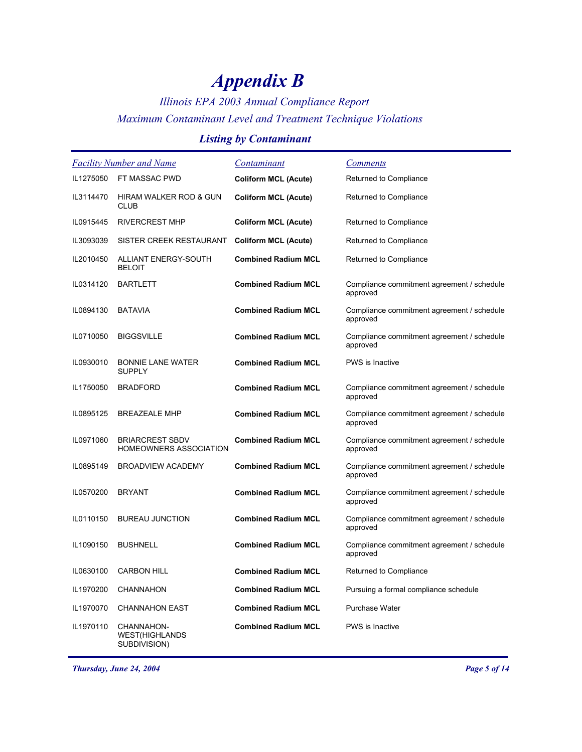## *Illinois EPA 2003 Annual Compliance Report Maximum Contaminant Level and Treatment Technique Violations*

### *Listing by Contaminant*

| <b>Facility Number and Name</b> |                                                         | Contaminant                 | <b>Comments</b>                                        |
|---------------------------------|---------------------------------------------------------|-----------------------------|--------------------------------------------------------|
| IL1275050                       | FT MASSAC PWD                                           | <b>Coliform MCL (Acute)</b> | Returned to Compliance                                 |
| IL3114470                       | HIRAM WALKER ROD & GUN<br><b>CLUB</b>                   | <b>Coliform MCL (Acute)</b> | Returned to Compliance                                 |
| IL0915445                       | <b>RIVERCREST MHP</b>                                   | <b>Coliform MCL (Acute)</b> | Returned to Compliance                                 |
| IL3093039                       | SISTER CREEK RESTAURANT                                 | <b>Coliform MCL (Acute)</b> | Returned to Compliance                                 |
| IL2010450                       | ALLIANT ENERGY-SOUTH<br><b>BELOIT</b>                   | <b>Combined Radium MCL</b>  | Returned to Compliance                                 |
| IL0314120                       | <b>BARTLETT</b>                                         | <b>Combined Radium MCL</b>  | Compliance commitment agreement / schedule<br>approved |
| IL0894130                       | <b>BATAVIA</b>                                          | <b>Combined Radium MCL</b>  | Compliance commitment agreement / schedule<br>approved |
| IL0710050                       | <b>BIGGSVILLE</b>                                       | <b>Combined Radium MCL</b>  | Compliance commitment agreement / schedule<br>approved |
| IL0930010                       | <b>BONNIE LANE WATER</b><br><b>SUPPLY</b>               | <b>Combined Radium MCL</b>  | <b>PWS</b> is Inactive                                 |
| IL1750050                       | <b>BRADFORD</b>                                         | <b>Combined Radium MCL</b>  | Compliance commitment agreement / schedule<br>approved |
| IL0895125                       | <b>BREAZEALE MHP</b>                                    | <b>Combined Radium MCL</b>  | Compliance commitment agreement / schedule<br>approved |
| IL0971060                       | <b>BRIARCREST SBDV</b><br><b>HOMEOWNERS ASSOCIATION</b> | <b>Combined Radium MCL</b>  | Compliance commitment agreement / schedule<br>approved |
| IL0895149                       | <b>BROADVIEW ACADEMY</b>                                | <b>Combined Radium MCL</b>  | Compliance commitment agreement / schedule<br>approved |
| IL0570200                       | <b>BRYANT</b>                                           | <b>Combined Radium MCL</b>  | Compliance commitment agreement / schedule<br>approved |
| IL0110150                       | <b>BUREAU JUNCTION</b>                                  | <b>Combined Radium MCL</b>  | Compliance commitment agreement / schedule<br>approved |
| IL1090150                       | <b>BUSHNELL</b>                                         | <b>Combined Radium MCL</b>  | Compliance commitment agreement / schedule<br>approved |
| IL0630100                       | <b>CARBON HILL</b>                                      | <b>Combined Radium MCL</b>  | Returned to Compliance                                 |
| IL1970200                       | <b>CHANNAHON</b>                                        | <b>Combined Radium MCL</b>  | Pursuing a formal compliance schedule                  |
| IL1970070                       | <b>CHANNAHON EAST</b>                                   | <b>Combined Radium MCL</b>  | <b>Purchase Water</b>                                  |
| IL1970110                       | CHANNAHON-<br><b>WEST(HIGHLANDS</b><br>SUBDIVISION)     | <b>Combined Radium MCL</b>  | PWS is Inactive                                        |

*Thursday, June 24, 2004 Page 5 of 14*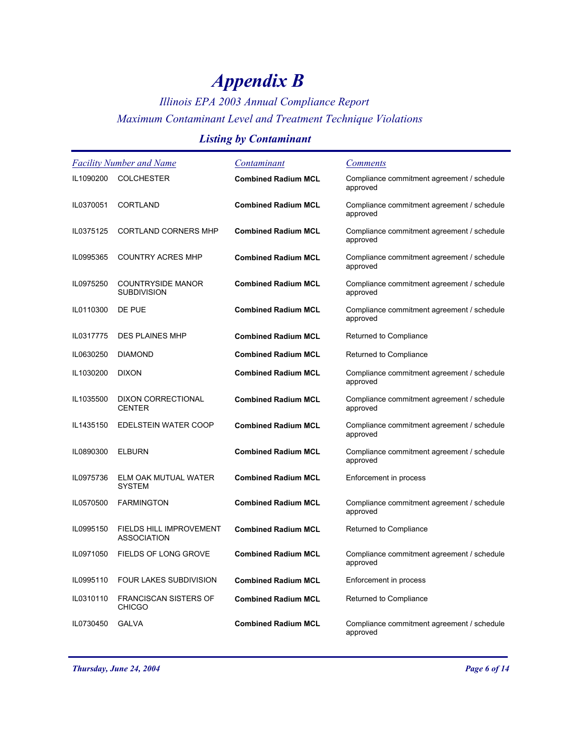## *Illinois EPA 2003 Annual Compliance Report Maximum Contaminant Level and Treatment Technique Violations*

### *Listing by Contaminant*

| <b>Facility Number and Name</b> |                                                      | Contaminant                | <b>Comments</b>                                        |
|---------------------------------|------------------------------------------------------|----------------------------|--------------------------------------------------------|
| IL1090200                       | <b>COLCHESTER</b>                                    | <b>Combined Radium MCL</b> | Compliance commitment agreement / schedule<br>approved |
| IL0370051                       | <b>CORTLAND</b>                                      | <b>Combined Radium MCL</b> | Compliance commitment agreement / schedule<br>approved |
| IL0375125                       | <b>CORTLAND CORNERS MHP</b>                          | <b>Combined Radium MCL</b> | Compliance commitment agreement / schedule<br>approved |
| IL0995365                       | <b>COUNTRY ACRES MHP</b>                             | <b>Combined Radium MCL</b> | Compliance commitment agreement / schedule<br>approved |
| IL0975250                       | <b>COUNTRYSIDE MANOR</b><br><b>SUBDIVISION</b>       | <b>Combined Radium MCL</b> | Compliance commitment agreement / schedule<br>approved |
| IL0110300                       | DE PUE                                               | <b>Combined Radium MCL</b> | Compliance commitment agreement / schedule<br>approved |
| IL0317775                       | <b>DES PLAINES MHP</b>                               | <b>Combined Radium MCL</b> | Returned to Compliance                                 |
| IL0630250                       | <b>DIAMOND</b>                                       | <b>Combined Radium MCL</b> | Returned to Compliance                                 |
| IL1030200                       | <b>DIXON</b>                                         | <b>Combined Radium MCL</b> | Compliance commitment agreement / schedule<br>approved |
| IL1035500                       | <b>DIXON CORRECTIONAL</b><br><b>CENTER</b>           | <b>Combined Radium MCL</b> | Compliance commitment agreement / schedule<br>approved |
| IL1435150                       | EDELSTEIN WATER COOP                                 | <b>Combined Radium MCL</b> | Compliance commitment agreement / schedule<br>approved |
| IL0890300                       | <b>ELBURN</b>                                        | <b>Combined Radium MCL</b> | Compliance commitment agreement / schedule<br>approved |
| IL0975736                       | ELM OAK MUTUAL WATER<br><b>SYSTEM</b>                | <b>Combined Radium MCL</b> | Enforcement in process                                 |
| IL0570500                       | <b>FARMINGTON</b>                                    | <b>Combined Radium MCL</b> | Compliance commitment agreement / schedule<br>approved |
| IL0995150                       | <b>FIELDS HILL IMPROVEMENT</b><br><b>ASSOCIATION</b> | <b>Combined Radium MCL</b> | Returned to Compliance                                 |
| IL0971050                       | <b>FIELDS OF LONG GROVE</b>                          | <b>Combined Radium MCL</b> | Compliance commitment agreement / schedule<br>approved |
| IL0995110                       | <b>FOUR LAKES SUBDIVISION</b>                        | <b>Combined Radium MCL</b> | Enforcement in process                                 |
| IL0310110                       | <b>FRANCISCAN SISTERS OF</b><br><b>CHICGO</b>        | <b>Combined Radium MCL</b> | Returned to Compliance                                 |
| IL0730450                       | <b>GALVA</b>                                         | <b>Combined Radium MCL</b> | Compliance commitment agreement / schedule<br>approved |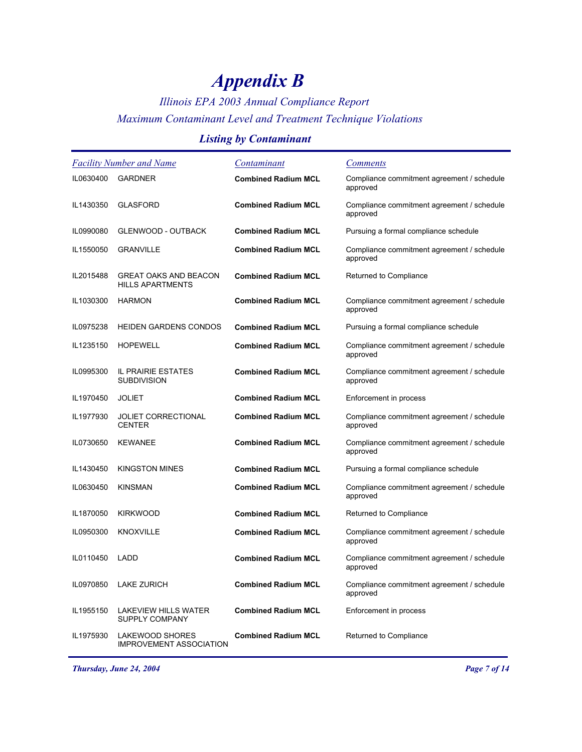## *Illinois EPA 2003 Annual Compliance Report Maximum Contaminant Level and Treatment Technique Violations*

### *Listing by Contaminant*

| <b>Facility Number and Name</b> |                                                          | <u>Contaminant</u>         | <b>Comments</b>                                        |
|---------------------------------|----------------------------------------------------------|----------------------------|--------------------------------------------------------|
| IL0630400                       | <b>GARDNER</b>                                           | <b>Combined Radium MCL</b> | Compliance commitment agreement / schedule<br>approved |
| IL1430350                       | <b>GLASFORD</b>                                          | <b>Combined Radium MCL</b> | Compliance commitment agreement / schedule<br>approved |
| IL0990080                       | <b>GLENWOOD - OUTBACK</b>                                | <b>Combined Radium MCL</b> | Pursuing a formal compliance schedule                  |
| IL1550050                       | <b>GRANVILLE</b>                                         | <b>Combined Radium MCL</b> | Compliance commitment agreement / schedule<br>approved |
| IL2015488                       | <b>GREAT OAKS AND BEACON</b><br><b>HILLS APARTMENTS</b>  | <b>Combined Radium MCL</b> | Returned to Compliance                                 |
| IL1030300                       | <b>HARMON</b>                                            | <b>Combined Radium MCL</b> | Compliance commitment agreement / schedule<br>approved |
| IL0975238                       | <b>HEIDEN GARDENS CONDOS</b>                             | <b>Combined Radium MCL</b> | Pursuing a formal compliance schedule                  |
| IL1235150                       | <b>HOPEWELL</b>                                          | <b>Combined Radium MCL</b> | Compliance commitment agreement / schedule<br>approved |
| IL0995300                       | IL PRAIRIE ESTATES<br><b>SUBDIVISION</b>                 | <b>Combined Radium MCL</b> | Compliance commitment agreement / schedule<br>approved |
| IL1970450                       | <b>JOLIET</b>                                            | <b>Combined Radium MCL</b> | Enforcement in process                                 |
| IL1977930                       | <b>JOLIET CORRECTIONAL</b><br><b>CENTER</b>              | <b>Combined Radium MCL</b> | Compliance commitment agreement / schedule<br>approved |
| IL0730650                       | <b>KEWANEE</b>                                           | <b>Combined Radium MCL</b> | Compliance commitment agreement / schedule<br>approved |
| IL1430450                       | <b>KINGSTON MINES</b>                                    | <b>Combined Radium MCL</b> | Pursuing a formal compliance schedule                  |
| IL0630450                       | <b>KINSMAN</b>                                           | <b>Combined Radium MCL</b> | Compliance commitment agreement / schedule<br>approved |
| IL1870050                       | <b>KIRKWOOD</b>                                          | <b>Combined Radium MCL</b> | Returned to Compliance                                 |
| IL0950300                       | <b>KNOXVILLE</b>                                         | <b>Combined Radium MCL</b> | Compliance commitment agreement / schedule<br>approved |
| IL0110450                       | <b>LADD</b>                                              | <b>Combined Radium MCL</b> | Compliance commitment agreement / schedule<br>approved |
| IL0970850                       | <b>LAKE ZURICH</b>                                       | <b>Combined Radium MCL</b> | Compliance commitment agreement / schedule<br>approved |
| IL1955150                       | <b>LAKEVIEW HILLS WATER</b><br>SUPPLY COMPANY            | <b>Combined Radium MCL</b> | Enforcement in process                                 |
| IL1975930                       | <b>LAKEWOOD SHORES</b><br><b>IMPROVEMENT ASSOCIATION</b> | <b>Combined Radium MCL</b> | Returned to Compliance                                 |

*Thursday, June 24, 2004 Page 7 of 14*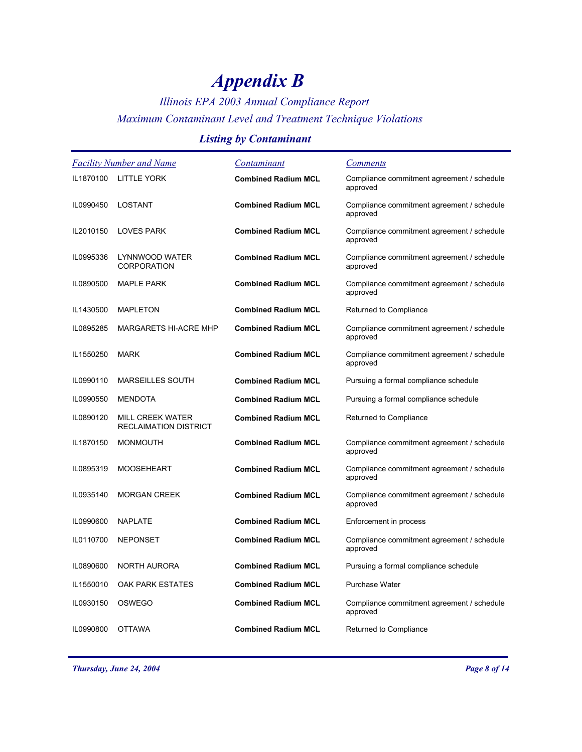## *Illinois EPA 2003 Annual Compliance Report Maximum Contaminant Level and Treatment Technique Violations*

### *Listing by Contaminant*

| <b>Facility Number and Name</b> |                                                         | <u>Contaminant</u>         | <b>Comments</b>                                        |
|---------------------------------|---------------------------------------------------------|----------------------------|--------------------------------------------------------|
| IL1870100                       | <b>LITTLE YORK</b>                                      | <b>Combined Radium MCL</b> | Compliance commitment agreement / schedule<br>approved |
| IL0990450                       | LOSTANT                                                 | <b>Combined Radium MCL</b> | Compliance commitment agreement / schedule<br>approved |
| IL2010150                       | <b>LOVES PARK</b>                                       | <b>Combined Radium MCL</b> | Compliance commitment agreement / schedule<br>approved |
| IL0995336                       | LYNNWOOD WATER<br><b>CORPORATION</b>                    | <b>Combined Radium MCL</b> | Compliance commitment agreement / schedule<br>approved |
| IL0890500                       | <b>MAPLE PARK</b>                                       | <b>Combined Radium MCL</b> | Compliance commitment agreement / schedule<br>approved |
| IL1430500                       | <b>MAPLETON</b>                                         | <b>Combined Radium MCL</b> | Returned to Compliance                                 |
| IL0895285                       | <b>MARGARETS HI-ACRE MHP</b>                            | <b>Combined Radium MCL</b> | Compliance commitment agreement / schedule<br>approved |
| IL1550250                       | <b>MARK</b>                                             | <b>Combined Radium MCL</b> | Compliance commitment agreement / schedule<br>approved |
| IL0990110                       | <b>MARSEILLES SOUTH</b>                                 | <b>Combined Radium MCL</b> | Pursuing a formal compliance schedule                  |
| IL0990550                       | <b>MENDOTA</b>                                          | <b>Combined Radium MCL</b> | Pursuing a formal compliance schedule                  |
| IL0890120                       | <b>MILL CREEK WATER</b><br><b>RECLAIMATION DISTRICT</b> | <b>Combined Radium MCL</b> | Returned to Compliance                                 |
| IL1870150                       | <b>MONMOUTH</b>                                         | <b>Combined Radium MCL</b> | Compliance commitment agreement / schedule<br>approved |
| IL0895319                       | <b>MOOSEHEART</b>                                       | <b>Combined Radium MCL</b> | Compliance commitment agreement / schedule<br>approved |
| IL0935140                       | <b>MORGAN CREEK</b>                                     | <b>Combined Radium MCL</b> | Compliance commitment agreement / schedule<br>approved |
| IL0990600                       | <b>NAPLATE</b>                                          | <b>Combined Radium MCL</b> | Enforcement in process                                 |
| IL0110700                       | <b>NEPONSET</b>                                         | <b>Combined Radium MCL</b> | Compliance commitment agreement / schedule<br>approved |
| IL0890600                       | NORTH AURORA                                            | <b>Combined Radium MCL</b> | Pursuing a formal compliance schedule                  |
| IL1550010                       | OAK PARK ESTATES                                        | <b>Combined Radium MCL</b> | <b>Purchase Water</b>                                  |
| IL0930150                       | <b>OSWEGO</b>                                           | <b>Combined Radium MCL</b> | Compliance commitment agreement / schedule<br>approved |
| IL0990800                       | <b>OTTAWA</b>                                           | <b>Combined Radium MCL</b> | Returned to Compliance                                 |
|                                 |                                                         |                            |                                                        |

*Thursday, June 24, 2004 Page 8 of 14*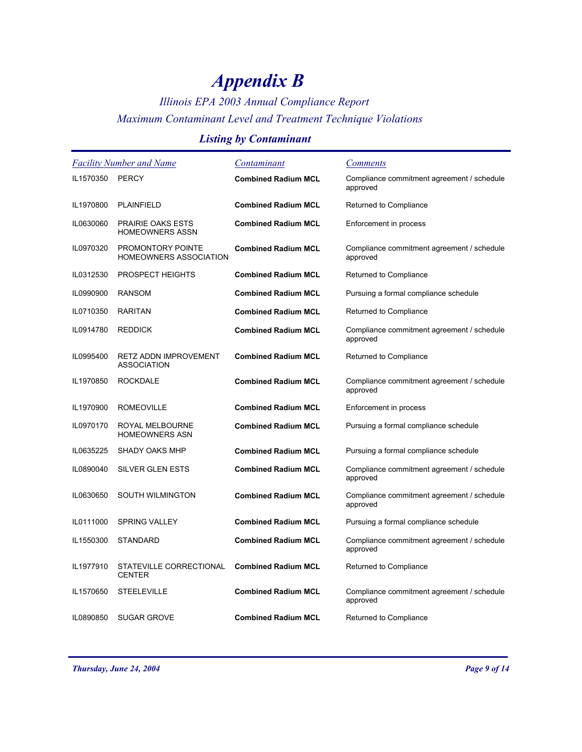## *Illinois EPA 2003 Annual Compliance Report Maximum Contaminant Level and Treatment Technique Violations*

### *Listing by Contaminant*

| <b>Facility Number and Name</b> |                                                           | Contaminant                | <i>Comments</i>                                        |
|---------------------------------|-----------------------------------------------------------|----------------------------|--------------------------------------------------------|
| IL1570350                       | <b>PERCY</b>                                              | <b>Combined Radium MCL</b> | Compliance commitment agreement / schedule<br>approved |
| IL1970800                       | PLAINFIELD                                                | <b>Combined Radium MCL</b> | Returned to Compliance                                 |
| IL0630060                       | <b>PRAIRIE OAKS ESTS</b><br><b>HOMEOWNERS ASSN</b>        | <b>Combined Radium MCL</b> | Enforcement in process                                 |
| IL0970320                       | <b>PROMONTORY POINTE</b><br><b>HOMEOWNERS ASSOCIATION</b> | <b>Combined Radium MCL</b> | Compliance commitment agreement / schedule<br>approved |
| IL0312530                       | <b>PROSPECT HEIGHTS</b>                                   | <b>Combined Radium MCL</b> | Returned to Compliance                                 |
| IL0990900                       | RANSOM                                                    | <b>Combined Radium MCL</b> | Pursuing a formal compliance schedule                  |
| IL0710350                       | <b>RARITAN</b>                                            | <b>Combined Radium MCL</b> | Returned to Compliance                                 |
| IL0914780                       | <b>REDDICK</b>                                            | <b>Combined Radium MCL</b> | Compliance commitment agreement / schedule<br>approved |
| IL0995400                       | RETZ ADDN IMPROVEMENT<br><b>ASSOCIATION</b>               | <b>Combined Radium MCL</b> | Returned to Compliance                                 |
| IL1970850                       | <b>ROCKDALE</b>                                           | <b>Combined Radium MCL</b> | Compliance commitment agreement / schedule<br>approved |
| IL1970900                       | <b>ROMEOVILLE</b>                                         | <b>Combined Radium MCL</b> | Enforcement in process                                 |
| IL0970170                       | ROYAL MELBOURNE<br><b>HOMEOWNERS ASN</b>                  | <b>Combined Radium MCL</b> | Pursuing a formal compliance schedule                  |
| IL0635225                       | SHADY OAKS MHP                                            | <b>Combined Radium MCL</b> | Pursuing a formal compliance schedule                  |
| IL0890040                       | SILVER GLEN ESTS                                          | <b>Combined Radium MCL</b> | Compliance commitment agreement / schedule<br>approved |
| IL0630650                       | <b>SOUTH WILMINGTON</b>                                   | <b>Combined Radium MCL</b> | Compliance commitment agreement / schedule<br>approved |
| IL0111000                       | <b>SPRING VALLEY</b>                                      | <b>Combined Radium MCL</b> | Pursuing a formal compliance schedule                  |
| IL1550300                       | <b>STANDARD</b>                                           | <b>Combined Radium MCL</b> | Compliance commitment agreement / schedule<br>approved |
| IL1977910                       | STATEVILLE CORRECTIONAL<br><b>CENTER</b>                  | <b>Combined Radium MCL</b> | Returned to Compliance                                 |
| IL1570650                       | <b>STEELEVILLE</b>                                        | <b>Combined Radium MCL</b> | Compliance commitment agreement / schedule<br>approved |
| IL0890850                       | <b>SUGAR GROVE</b>                                        | <b>Combined Radium MCL</b> | Returned to Compliance                                 |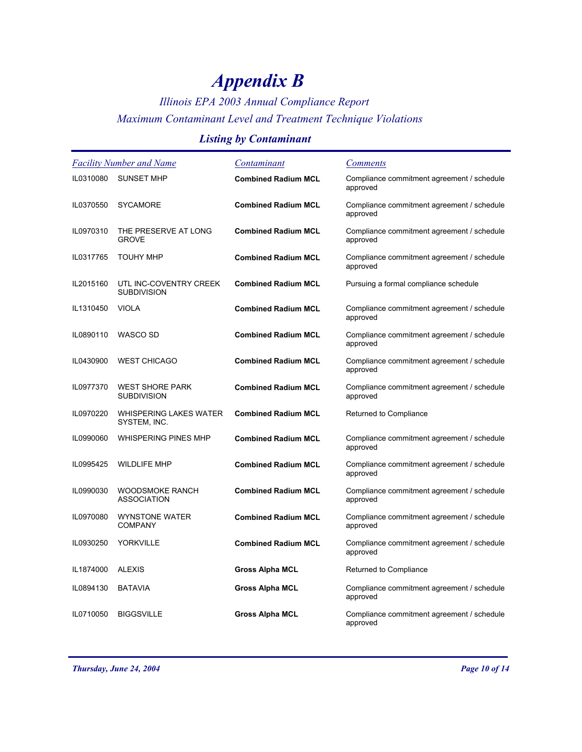## *Illinois EPA 2003 Annual Compliance Report Maximum Contaminant Level and Treatment Technique Violations*

### *Listing by Contaminant*

| <b>Facility Number and Name</b> |                                               | Contaminant                | <b>Comments</b>                                        |
|---------------------------------|-----------------------------------------------|----------------------------|--------------------------------------------------------|
| IL0310080                       | <b>SUNSET MHP</b>                             | <b>Combined Radium MCL</b> | Compliance commitment agreement / schedule<br>approved |
| IL0370550                       | <b>SYCAMORE</b>                               | <b>Combined Radium MCL</b> | Compliance commitment agreement / schedule<br>approved |
| IL0970310                       | THE PRESERVE AT LONG<br><b>GROVE</b>          | <b>Combined Radium MCL</b> | Compliance commitment agreement / schedule<br>approved |
| IL0317765                       | <b>TOUHY MHP</b>                              | <b>Combined Radium MCL</b> | Compliance commitment agreement / schedule<br>approved |
| IL2015160                       | UTL INC-COVENTRY CREEK<br><b>SUBDIVISION</b>  | <b>Combined Radium MCL</b> | Pursuing a formal compliance schedule                  |
| IL1310450                       | <b>VIOLA</b>                                  | <b>Combined Radium MCL</b> | Compliance commitment agreement / schedule<br>approved |
| IL0890110                       | WASCO SD                                      | <b>Combined Radium MCL</b> | Compliance commitment agreement / schedule<br>approved |
| IL0430900                       | <b>WEST CHICAGO</b>                           | <b>Combined Radium MCL</b> | Compliance commitment agreement / schedule<br>approved |
| IL0977370                       | <b>WEST SHORE PARK</b><br><b>SUBDIVISION</b>  | <b>Combined Radium MCL</b> | Compliance commitment agreement / schedule<br>approved |
| IL0970220                       | <b>WHISPERING LAKES WATER</b><br>SYSTEM, INC. | <b>Combined Radium MCL</b> | Returned to Compliance                                 |
| IL0990060                       | <b>WHISPERING PINES MHP</b>                   | <b>Combined Radium MCL</b> | Compliance commitment agreement / schedule<br>approved |
| IL0995425                       | <b>WILDLIFE MHP</b>                           | <b>Combined Radium MCL</b> | Compliance commitment agreement / schedule<br>approved |
| IL0990030                       | <b>WOODSMOKE RANCH</b><br><b>ASSOCIATION</b>  | <b>Combined Radium MCL</b> | Compliance commitment agreement / schedule<br>approved |
| IL0970080                       | <b>WYNSTONE WATER</b><br><b>COMPANY</b>       | <b>Combined Radium MCL</b> | Compliance commitment agreement / schedule<br>approved |
| IL0930250                       | <b>YORKVILLE</b>                              | <b>Combined Radium MCL</b> | Compliance commitment agreement / schedule<br>approved |
| IL1874000                       | <b>ALEXIS</b>                                 | <b>Gross Alpha MCL</b>     | Returned to Compliance                                 |
| IL0894130                       | <b>BATAVIA</b>                                | <b>Gross Alpha MCL</b>     | Compliance commitment agreement / schedule<br>approved |
| IL0710050                       | <b>BIGGSVILLE</b>                             | <b>Gross Alpha MCL</b>     | Compliance commitment agreement / schedule<br>approved |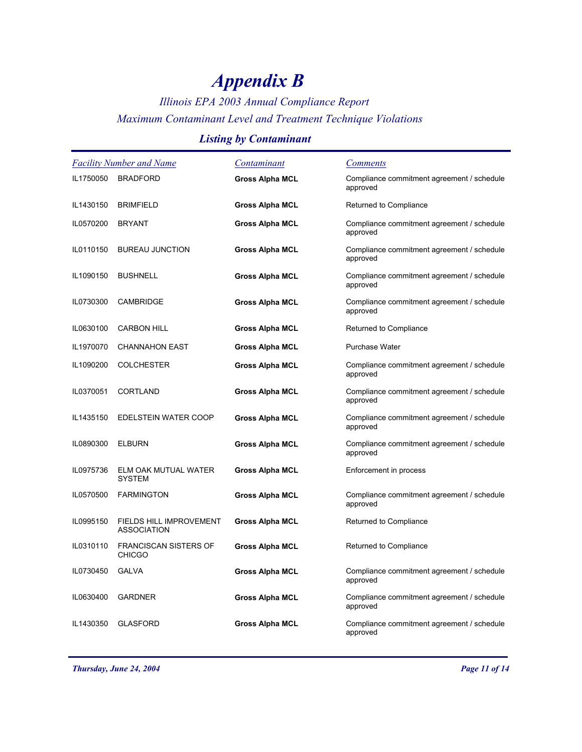## *Illinois EPA 2003 Annual Compliance Report Maximum Contaminant Level and Treatment Technique Violations*

### *Listing by Contaminant*

| Facility Number and Name |                                               | Contaminant            | <b>Comments</b>                                        |
|--------------------------|-----------------------------------------------|------------------------|--------------------------------------------------------|
| IL1750050                | <b>BRADFORD</b>                               | <b>Gross Alpha MCL</b> | Compliance commitment agreement / schedule<br>approved |
| IL1430150                | <b>BRIMFIELD</b>                              | <b>Gross Alpha MCL</b> | Returned to Compliance                                 |
| IL0570200                | <b>BRYANT</b>                                 | <b>Gross Alpha MCL</b> | Compliance commitment agreement / schedule<br>approved |
| IL0110150                | <b>BUREAU JUNCTION</b>                        | <b>Gross Alpha MCL</b> | Compliance commitment agreement / schedule<br>approved |
| IL1090150                | <b>BUSHNELL</b>                               | <b>Gross Alpha MCL</b> | Compliance commitment agreement / schedule<br>approved |
| IL0730300                | <b>CAMBRIDGE</b>                              | <b>Gross Alpha MCL</b> | Compliance commitment agreement / schedule<br>approved |
| IL0630100                | <b>CARBON HILL</b>                            | <b>Gross Alpha MCL</b> | Returned to Compliance                                 |
| IL1970070                | <b>CHANNAHON EAST</b>                         | <b>Gross Alpha MCL</b> | <b>Purchase Water</b>                                  |
| IL1090200                | <b>COLCHESTER</b>                             | <b>Gross Alpha MCL</b> | Compliance commitment agreement / schedule<br>approved |
| IL0370051                | <b>CORTLAND</b>                               | <b>Gross Alpha MCL</b> | Compliance commitment agreement / schedule<br>approved |
| IL1435150                | EDELSTEIN WATER COOP                          | <b>Gross Alpha MCL</b> | Compliance commitment agreement / schedule<br>approved |
| IL0890300                | <b>ELBURN</b>                                 | <b>Gross Alpha MCL</b> | Compliance commitment agreement / schedule<br>approved |
| IL0975736                | ELM OAK MUTUAL WATER<br><b>SYSTEM</b>         | <b>Gross Alpha MCL</b> | Enforcement in process                                 |
| IL0570500                | <b>FARMINGTON</b>                             | <b>Gross Alpha MCL</b> | Compliance commitment agreement / schedule<br>approved |
| IL0995150                | FIELDS HILL IMPROVEMENT<br><b>ASSOCIATION</b> | <b>Gross Alpha MCL</b> | Returned to Compliance                                 |
| IL0310110                | <b>FRANCISCAN SISTERS OF</b><br><b>CHICGO</b> | <b>Gross Alpha MCL</b> | Returned to Compliance                                 |
| IL0730450                | <b>GALVA</b>                                  | <b>Gross Alpha MCL</b> | Compliance commitment agreement / schedule<br>approved |
| IL0630400                | <b>GARDNER</b>                                | <b>Gross Alpha MCL</b> | Compliance commitment agreement / schedule<br>approved |
| IL1430350                | <b>GLASFORD</b>                               | <b>Gross Alpha MCL</b> | Compliance commitment agreement / schedule<br>approved |

*Thursday, June 24, 2004 Page 11 of 14*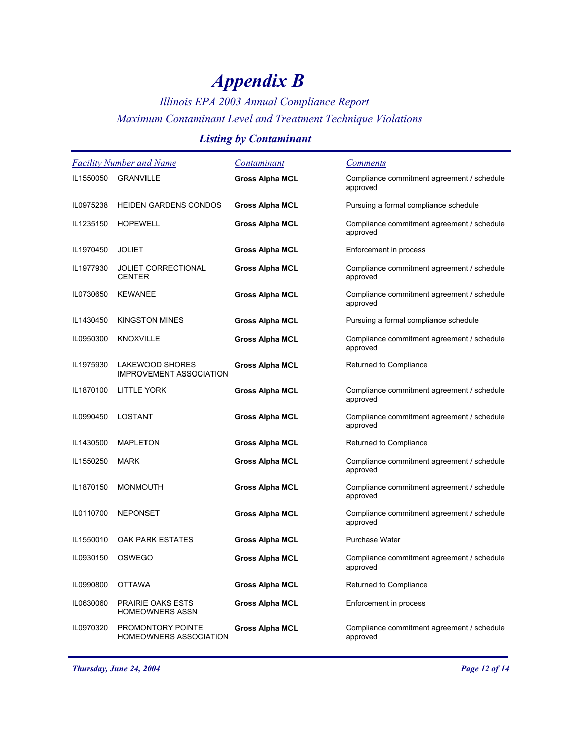## *Illinois EPA 2003 Annual Compliance Report Maximum Contaminant Level and Treatment Technique Violations*

### *Listing by Contaminant*

| <b>Facility Number and Name</b> |                                                          | Contaminant            | <b>Comments</b>                                        |
|---------------------------------|----------------------------------------------------------|------------------------|--------------------------------------------------------|
| IL1550050                       | <b>GRANVILLE</b>                                         | <b>Gross Alpha MCL</b> | Compliance commitment agreement / schedule<br>approved |
| IL0975238                       | <b>HEIDEN GARDENS CONDOS</b>                             | <b>Gross Alpha MCL</b> | Pursuing a formal compliance schedule                  |
| IL1235150                       | <b>HOPEWELL</b>                                          | <b>Gross Alpha MCL</b> | Compliance commitment agreement / schedule<br>approved |
| IL1970450                       | <b>JOLIET</b>                                            | <b>Gross Alpha MCL</b> | Enforcement in process                                 |
| IL1977930                       | <b>JOLIET CORRECTIONAL</b><br><b>CENTER</b>              | <b>Gross Alpha MCL</b> | Compliance commitment agreement / schedule<br>approved |
| IL0730650                       | <b>KEWANEE</b>                                           | <b>Gross Alpha MCL</b> | Compliance commitment agreement / schedule<br>approved |
| IL1430450                       | <b>KINGSTON MINES</b>                                    | <b>Gross Alpha MCL</b> | Pursuing a formal compliance schedule                  |
| IL0950300                       | <b>KNOXVILLE</b>                                         | <b>Gross Alpha MCL</b> | Compliance commitment agreement / schedule<br>approved |
| IL1975930                       | <b>LAKEWOOD SHORES</b><br><b>IMPROVEMENT ASSOCIATION</b> | <b>Gross Alpha MCL</b> | Returned to Compliance                                 |
| IL1870100                       | LITTLE YORK                                              | <b>Gross Alpha MCL</b> | Compliance commitment agreement / schedule<br>approved |
| IL0990450                       | LOSTANT                                                  | <b>Gross Alpha MCL</b> | Compliance commitment agreement / schedule<br>approved |
| IL1430500                       | <b>MAPLETON</b>                                          | <b>Gross Alpha MCL</b> | Returned to Compliance                                 |
| IL1550250                       | <b>MARK</b>                                              | <b>Gross Alpha MCL</b> | Compliance commitment agreement / schedule<br>approved |
| IL1870150                       | <b>MONMOUTH</b>                                          | <b>Gross Alpha MCL</b> | Compliance commitment agreement / schedule<br>approved |
| IL0110700                       | <b>NEPONSET</b>                                          | <b>Gross Alpha MCL</b> | Compliance commitment agreement / schedule<br>approved |
| IL1550010                       | <b>OAK PARK ESTATES</b>                                  | <b>Gross Alpha MCL</b> | Purchase Water                                         |
| IL0930150                       | <b>OSWEGO</b>                                            | <b>Gross Alpha MCL</b> | Compliance commitment agreement / schedule<br>approved |
| IL0990800                       | <b>OTTAWA</b>                                            | <b>Gross Alpha MCL</b> | Returned to Compliance                                 |
| IL0630060                       | PRAIRIE OAKS ESTS<br><b>HOMEOWNERS ASSN</b>              | <b>Gross Alpha MCL</b> | Enforcement in process                                 |
| IL0970320                       | PROMONTORY POINTE<br><b>HOMEOWNERS ASSOCIATION</b>       | <b>Gross Alpha MCL</b> | Compliance commitment agreement / schedule<br>approved |

*Thursday, June 24, 2004 Page 12 of 14*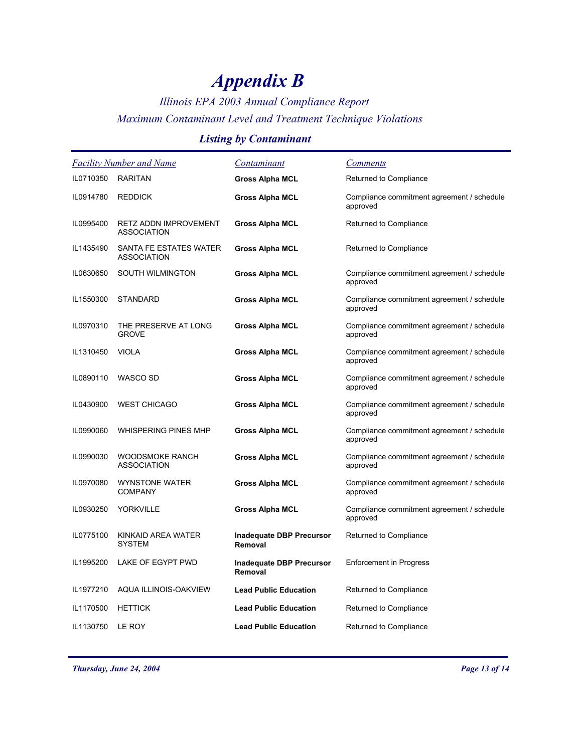### *Illinois EPA 2003 Annual Compliance Report Maximum Contaminant Level and Treatment Technique Violations*

### *Listing by Contaminant*

| Facility Number and Name |                                                    | Contaminant                                | <b>Comments</b>                                        |
|--------------------------|----------------------------------------------------|--------------------------------------------|--------------------------------------------------------|
| IL0710350                | <b>RARITAN</b>                                     | <b>Gross Alpha MCL</b>                     | Returned to Compliance                                 |
| IL0914780                | <b>REDDICK</b>                                     | <b>Gross Alpha MCL</b>                     | Compliance commitment agreement / schedule<br>approved |
| IL0995400                | <b>RETZ ADDN IMPROVEMENT</b><br><b>ASSOCIATION</b> | <b>Gross Alpha MCL</b>                     | Returned to Compliance                                 |
| IL1435490                | SANTA FE ESTATES WATER<br><b>ASSOCIATION</b>       | <b>Gross Alpha MCL</b>                     | Returned to Compliance                                 |
| IL0630650                | <b>SOUTH WILMINGTON</b>                            | <b>Gross Alpha MCL</b>                     | Compliance commitment agreement / schedule<br>approved |
| IL1550300                | <b>STANDARD</b>                                    | <b>Gross Alpha MCL</b>                     | Compliance commitment agreement / schedule<br>approved |
| IL0970310                | THE PRESERVE AT LONG<br><b>GROVE</b>               | Gross Alpha MCL                            | Compliance commitment agreement / schedule<br>approved |
| IL1310450                | <b>VIOLA</b>                                       | <b>Gross Alpha MCL</b>                     | Compliance commitment agreement / schedule<br>approved |
| IL0890110                | WASCO SD                                           | <b>Gross Alpha MCL</b>                     | Compliance commitment agreement / schedule<br>approved |
| IL0430900                | <b>WEST CHICAGO</b>                                | <b>Gross Alpha MCL</b>                     | Compliance commitment agreement / schedule<br>approved |
| IL0990060                | WHISPERING PINES MHP                               | <b>Gross Alpha MCL</b>                     | Compliance commitment agreement / schedule<br>approved |
| IL0990030                | <b>WOODSMOKE RANCH</b><br><b>ASSOCIATION</b>       | <b>Gross Alpha MCL</b>                     | Compliance commitment agreement / schedule<br>approved |
| IL0970080                | <b>WYNSTONE WATER</b><br><b>COMPANY</b>            | <b>Gross Alpha MCL</b>                     | Compliance commitment agreement / schedule<br>approved |
| IL0930250                | <b>YORKVILLE</b>                                   | <b>Gross Alpha MCL</b>                     | Compliance commitment agreement / schedule<br>approved |
| IL0775100                | KINKAID AREA WATER<br><b>SYSTEM</b>                | <b>Inadequate DBP Precursor</b><br>Removal | Returned to Compliance                                 |
| IL1995200                | LAKE OF EGYPT PWD                                  | <b>Inadequate DBP Precursor</b><br>Removal | <b>Enforcement in Progress</b>                         |
| IL1977210                | AQUA ILLINOIS-OAKVIEW                              | <b>Lead Public Education</b>               | Returned to Compliance                                 |
| IL1170500                | <b>HETTICK</b>                                     | <b>Lead Public Education</b>               | Returned to Compliance                                 |
| IL1130750                | LE ROY                                             | <b>Lead Public Education</b>               | Returned to Compliance                                 |

*Thursday, June 24, 2004 Page 13 of 14*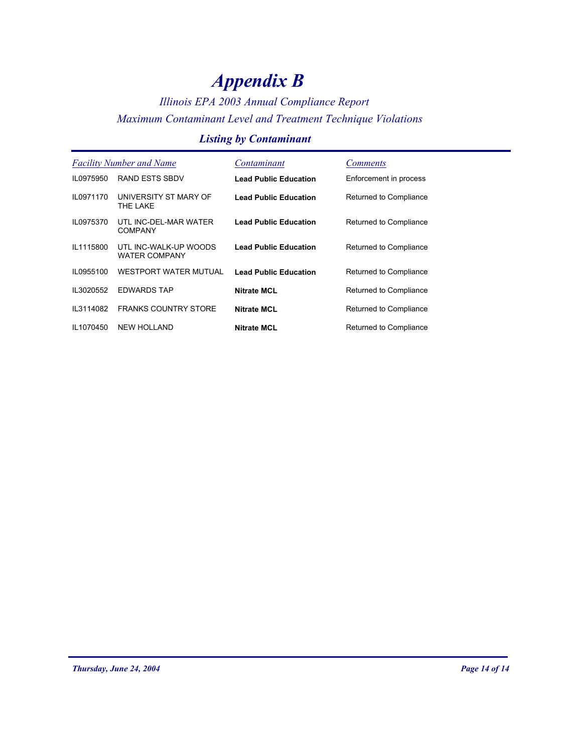## *Illinois EPA 2003 Annual Compliance Report Maximum Contaminant Level and Treatment Technique Violations*

### *Listing by Contaminant*

| <b>Facility Number and Name</b> |                                               | Contaminant                  | <i>Comments</i>        |
|---------------------------------|-----------------------------------------------|------------------------------|------------------------|
| IL0975950                       | <b>RAND ESTS SBDV</b>                         | <b>Lead Public Education</b> | Enforcement in process |
| IL0971170                       | UNIVERSITY ST MARY OF<br>THE LAKE             | <b>Lead Public Education</b> | Returned to Compliance |
| IL0975370                       | UTL INC-DEL-MAR WATER<br><b>COMPANY</b>       | <b>Lead Public Education</b> | Returned to Compliance |
| IL1115800                       | UTL INC-WALK-UP WOODS<br><b>WATER COMPANY</b> | <b>Lead Public Education</b> | Returned to Compliance |
| IL0955100                       | <b>WESTPORT WATER MUTUAL</b>                  | <b>Lead Public Education</b> | Returned to Compliance |
| IL3020552                       | <b>EDWARDS TAP</b>                            | <b>Nitrate MCL</b>           | Returned to Compliance |
| IL3114082                       | <b>FRANKS COUNTRY STORE</b>                   | <b>Nitrate MCL</b>           | Returned to Compliance |
| IL1070450                       | <b>NEW HOLLAND</b>                            | <b>Nitrate MCL</b>           | Returned to Compliance |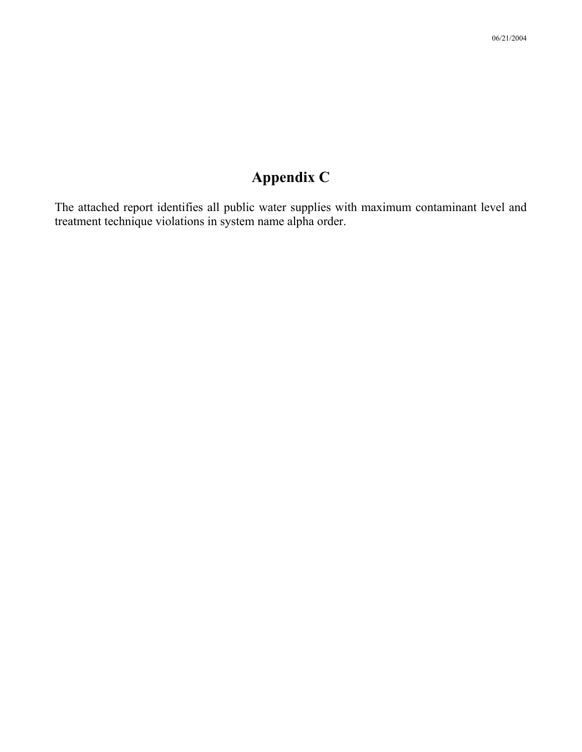The attached report identifies all public water supplies with maximum contaminant level and treatment technique violations in system name alpha order.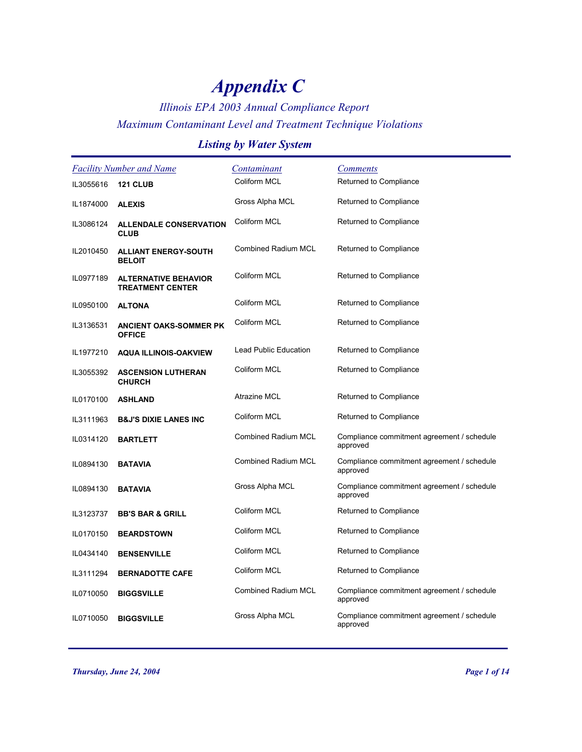### *Illinois EPA 2003 Annual Compliance Report Maximum Contaminant Level and Treatment Technique Violations*

#### *Listing by Water System*

|           | <b>Facility Number and Name</b>                        | Contaminant                  | <b>Comments</b>                                        |
|-----------|--------------------------------------------------------|------------------------------|--------------------------------------------------------|
| IL3055616 | <b>121 CLUB</b>                                        | Coliform MCL                 | Returned to Compliance                                 |
| IL1874000 | <b>ALEXIS</b>                                          | Gross Alpha MCL              | Returned to Compliance                                 |
| IL3086124 | <b>ALLENDALE CONSERVATION</b><br><b>CLUB</b>           | Coliform MCL                 | Returned to Compliance                                 |
| IL2010450 | <b>ALLIANT ENERGY-SOUTH</b><br><b>BELOIT</b>           | <b>Combined Radium MCL</b>   | Returned to Compliance                                 |
| IL0977189 | <b>ALTERNATIVE BEHAVIOR</b><br><b>TREATMENT CENTER</b> | Coliform MCL                 | Returned to Compliance                                 |
| IL0950100 | <b>ALTONA</b>                                          | Coliform MCL                 | Returned to Compliance                                 |
| IL3136531 | <b>ANCIENT OAKS-SOMMER PK</b><br><b>OFFICE</b>         | Coliform MCL                 | Returned to Compliance                                 |
| IL1977210 | <b>AQUA ILLINOIS-OAKVIEW</b>                           | <b>Lead Public Education</b> | Returned to Compliance                                 |
| IL3055392 | <b>ASCENSION LUTHERAN</b><br><b>CHURCH</b>             | Coliform MCL                 | Returned to Compliance                                 |
| IL0170100 | <b>ASHLAND</b>                                         | Atrazine MCL                 | Returned to Compliance                                 |
| IL3111963 | <b>B&amp;J'S DIXIE LANES INC</b>                       | Coliform MCL                 | Returned to Compliance                                 |
| IL0314120 | <b>BARTLETT</b>                                        | <b>Combined Radium MCL</b>   | Compliance commitment agreement / schedule<br>approved |
| IL0894130 | <b>BATAVIA</b>                                         | <b>Combined Radium MCL</b>   | Compliance commitment agreement / schedule<br>approved |
| IL0894130 | <b>BATAVIA</b>                                         | Gross Alpha MCL              | Compliance commitment agreement / schedule<br>approved |
| IL3123737 | <b>BB'S BAR &amp; GRILL</b>                            | Coliform MCL                 | Returned to Compliance                                 |
| IL0170150 | <b>BEARDSTOWN</b>                                      | Coliform MCL                 | Returned to Compliance                                 |
| IL0434140 | <b>BENSENVILLE</b>                                     | Coliform MCL                 | Returned to Compliance                                 |
| IL3111294 | <b>BERNADOTTE CAFE</b>                                 | Coliform MCL                 | Returned to Compliance                                 |
| IL0710050 | <b>BIGGSVILLE</b>                                      | Combined Radium MCL          | Compliance commitment agreement / schedule<br>approved |
| IL0710050 | <b>BIGGSVILLE</b>                                      | Gross Alpha MCL              | Compliance commitment agreement / schedule<br>approved |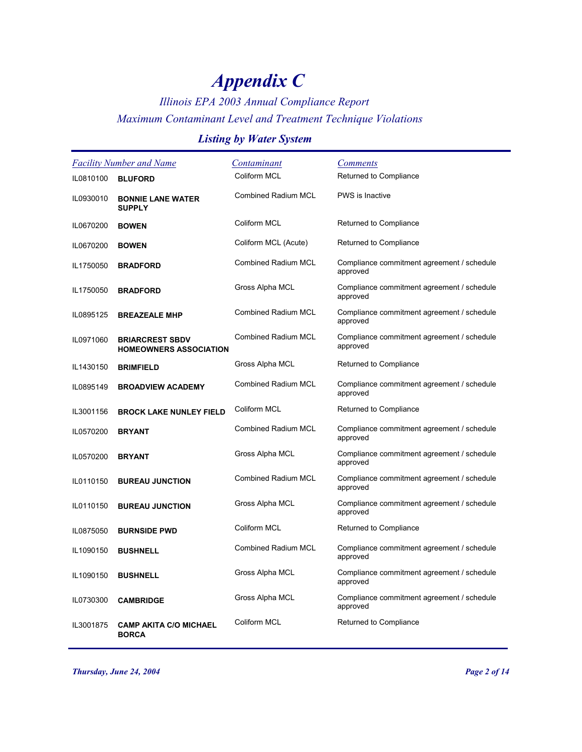## *Illinois EPA 2003 Annual Compliance Report Maximum Contaminant Level and Treatment Technique Violations*

### *Listing by Water System*

|           | <b>Facility Number and Name</b>                         | Contaminant                | <b>Comments</b>                                        |
|-----------|---------------------------------------------------------|----------------------------|--------------------------------------------------------|
| IL0810100 | <b>BLUFORD</b>                                          | Coliform MCL               | Returned to Compliance                                 |
| IL0930010 | <b>BONNIE LANE WATER</b><br><b>SUPPLY</b>               | <b>Combined Radium MCL</b> | <b>PWS</b> is Inactive                                 |
| IL0670200 | <b>BOWEN</b>                                            | Coliform MCL               | Returned to Compliance                                 |
| IL0670200 | <b>BOWEN</b>                                            | Coliform MCL (Acute)       | Returned to Compliance                                 |
| IL1750050 | <b>BRADFORD</b>                                         | <b>Combined Radium MCL</b> | Compliance commitment agreement / schedule<br>approved |
| IL1750050 | <b>BRADFORD</b>                                         | Gross Alpha MCL            | Compliance commitment agreement / schedule<br>approved |
| IL0895125 | <b>BREAZEALE MHP</b>                                    | <b>Combined Radium MCL</b> | Compliance commitment agreement / schedule<br>approved |
| IL0971060 | <b>BRIARCREST SBDV</b><br><b>HOMEOWNERS ASSOCIATION</b> | <b>Combined Radium MCL</b> | Compliance commitment agreement / schedule<br>approved |
| IL1430150 | <b>BRIMFIELD</b>                                        | Gross Alpha MCL            | Returned to Compliance                                 |
| IL0895149 | <b>BROADVIEW ACADEMY</b>                                | <b>Combined Radium MCL</b> | Compliance commitment agreement / schedule<br>approved |
| IL3001156 | <b>BROCK LAKE NUNLEY FIELD</b>                          | Coliform MCL               | Returned to Compliance                                 |
| IL0570200 | <b>BRYANT</b>                                           | <b>Combined Radium MCL</b> | Compliance commitment agreement / schedule<br>approved |
| IL0570200 | <b>BRYANT</b>                                           | Gross Alpha MCL            | Compliance commitment agreement / schedule<br>approved |
| IL0110150 | <b>BUREAU JUNCTION</b>                                  | <b>Combined Radium MCL</b> | Compliance commitment agreement / schedule<br>approved |
| IL0110150 | <b>BUREAU JUNCTION</b>                                  | Gross Alpha MCL            | Compliance commitment agreement / schedule<br>approved |
| IL0875050 | <b>BURNSIDE PWD</b>                                     | Coliform MCL               | Returned to Compliance                                 |
| IL1090150 | <b>BUSHNELL</b>                                         | Combined Radium MCL        | Compliance commitment agreement / schedule<br>approved |
| IL1090150 | <b>BUSHNELL</b>                                         | Gross Alpha MCL            | Compliance commitment agreement / schedule<br>approved |
| IL0730300 | <b>CAMBRIDGE</b>                                        | Gross Alpha MCL            | Compliance commitment agreement / schedule<br>approved |
| IL3001875 | <b>CAMP AKITA C/O MICHAEL</b><br><b>BORCA</b>           | Coliform MCL               | Returned to Compliance                                 |

*Thursday, June 24, 2004 Page 2 of 14*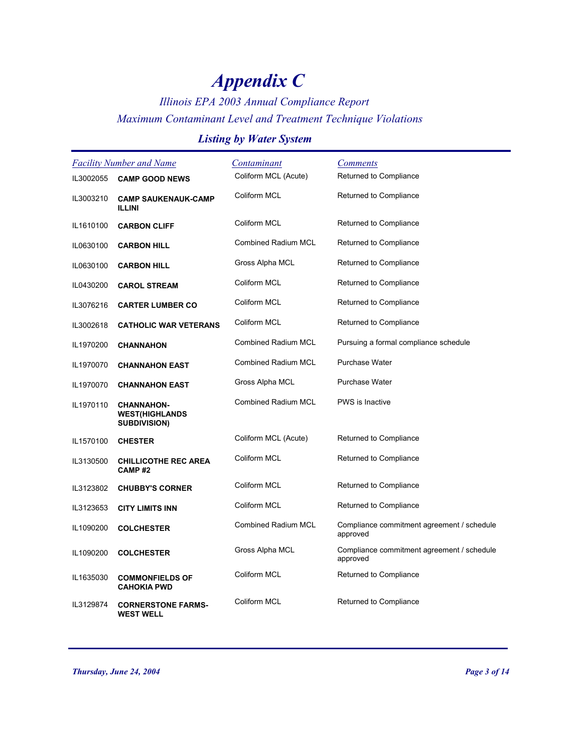## *Illinois EPA 2003 Annual Compliance Report Maximum Contaminant Level and Treatment Technique Violations*

### *Listing by Water System*

| <b>Facility Number and Name</b> |                                                                   | <u>Contaminant</u>         | <b>Comments</b>                                        |
|---------------------------------|-------------------------------------------------------------------|----------------------------|--------------------------------------------------------|
| IL3002055                       | <b>CAMP GOOD NEWS</b>                                             | Coliform MCL (Acute)       | Returned to Compliance                                 |
| IL3003210                       | <b>CAMP SAUKENAUK-CAMP</b><br><b>ILLINI</b>                       | Coliform MCL               | Returned to Compliance                                 |
| IL1610100                       | <b>CARBON CLIFF</b>                                               | Coliform MCL               | Returned to Compliance                                 |
| IL0630100                       | <b>CARBON HILL</b>                                                | Combined Radium MCL        | Returned to Compliance                                 |
| IL0630100                       | <b>CARBON HILL</b>                                                | Gross Alpha MCL            | Returned to Compliance                                 |
| IL0430200                       | <b>CAROL STREAM</b>                                               | Coliform MCL               | Returned to Compliance                                 |
| IL3076216                       | <b>CARTER LUMBER CO</b>                                           | Coliform MCL               | Returned to Compliance                                 |
| IL3002618                       | <b>CATHOLIC WAR VETERANS</b>                                      | Coliform MCL               | Returned to Compliance                                 |
| IL1970200                       | <b>CHANNAHON</b>                                                  | <b>Combined Radium MCL</b> | Pursuing a formal compliance schedule                  |
| IL1970070                       | <b>CHANNAHON EAST</b>                                             | <b>Combined Radium MCL</b> | Purchase Water                                         |
| IL1970070                       | <b>CHANNAHON EAST</b>                                             | Gross Alpha MCL            | Purchase Water                                         |
| IL1970110                       | <b>CHANNAHON-</b><br><b>WEST(HIGHLANDS</b><br><b>SUBDIVISION)</b> | <b>Combined Radium MCL</b> | <b>PWS</b> is Inactive                                 |
| IL1570100                       | <b>CHESTER</b>                                                    | Coliform MCL (Acute)       | Returned to Compliance                                 |
| IL3130500                       | <b>CHILLICOTHE REC AREA</b><br>CAMP#2                             | Coliform MCL               | Returned to Compliance                                 |
| IL3123802                       | <b>CHUBBY'S CORNER</b>                                            | Coliform MCL               | Returned to Compliance                                 |
| IL3123653                       | <b>CITY LIMITS INN</b>                                            | Coliform MCL               | Returned to Compliance                                 |
| IL1090200                       | <b>COLCHESTER</b>                                                 | <b>Combined Radium MCL</b> | Compliance commitment agreement / schedule<br>approved |
| IL1090200                       | <b>COLCHESTER</b>                                                 | Gross Alpha MCL            | Compliance commitment agreement / schedule<br>approved |
| IL1635030                       | <b>COMMONFIELDS OF</b><br><b>CAHOKIA PWD</b>                      | <b>Coliform MCL</b>        | Returned to Compliance                                 |
| IL3129874                       | <b>CORNERSTONE FARMS-</b><br><b>WEST WELL</b>                     | Coliform MCL               | Returned to Compliance                                 |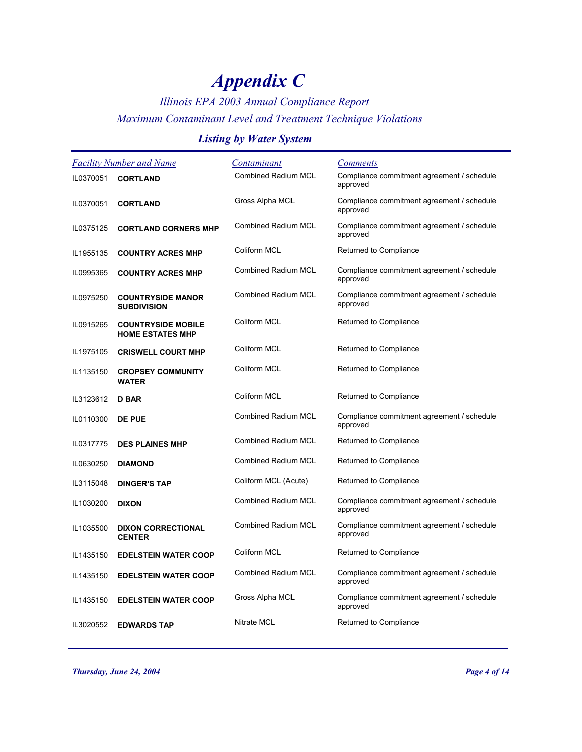## *Illinois EPA 2003 Annual Compliance Report Maximum Contaminant Level and Treatment Technique Violations*

### *Listing by Water System*

| <b>Facility Number and Name</b> |                                                      | Contaminant                | <b>Comments</b>                                        |
|---------------------------------|------------------------------------------------------|----------------------------|--------------------------------------------------------|
| IL0370051                       | <b>CORTLAND</b>                                      | <b>Combined Radium MCL</b> | Compliance commitment agreement / schedule<br>approved |
| IL0370051                       | <b>CORTLAND</b>                                      | Gross Alpha MCL            | Compliance commitment agreement / schedule<br>approved |
| IL0375125                       | <b>CORTLAND CORNERS MHP</b>                          | <b>Combined Radium MCL</b> | Compliance commitment agreement / schedule<br>approved |
| IL1955135                       | <b>COUNTRY ACRES MHP</b>                             | Coliform MCL               | Returned to Compliance                                 |
| IL0995365                       | <b>COUNTRY ACRES MHP</b>                             | <b>Combined Radium MCL</b> | Compliance commitment agreement / schedule<br>approved |
| IL0975250                       | <b>COUNTRYSIDE MANOR</b><br><b>SUBDIVISION</b>       | <b>Combined Radium MCL</b> | Compliance commitment agreement / schedule<br>approved |
| IL0915265                       | <b>COUNTRYSIDE MOBILE</b><br><b>HOME ESTATES MHP</b> | Coliform MCL               | Returned to Compliance                                 |
| IL1975105                       | <b>CRISWELL COURT MHP</b>                            | Coliform MCL               | Returned to Compliance                                 |
| IL1135150                       | <b>CROPSEY COMMUNITY</b><br><b>WATER</b>             | Coliform MCL               | Returned to Compliance                                 |
| IL3123612                       | <b>D BAR</b>                                         | Coliform MCL               | Returned to Compliance                                 |
| IL0110300                       | <b>DE PUE</b>                                        | <b>Combined Radium MCL</b> | Compliance commitment agreement / schedule<br>approved |
| IL0317775                       | <b>DES PLAINES MHP</b>                               | <b>Combined Radium MCL</b> | Returned to Compliance                                 |
| IL0630250                       | <b>DIAMOND</b>                                       | <b>Combined Radium MCL</b> | Returned to Compliance                                 |
| IL3115048                       | <b>DINGER'S TAP</b>                                  | Coliform MCL (Acute)       | Returned to Compliance                                 |
| IL1030200                       | <b>DIXON</b>                                         | <b>Combined Radium MCL</b> | Compliance commitment agreement / schedule<br>approved |
| IL1035500                       | <b>DIXON CORRECTIONAL</b><br><b>CENTER</b>           | <b>Combined Radium MCL</b> | Compliance commitment agreement / schedule<br>approved |
| IL1435150                       | <b>EDELSTEIN WATER COOP</b>                          | Coliform MCL               | Returned to Compliance                                 |
| IL1435150                       | <b>EDELSTEIN WATER COOP</b>                          | <b>Combined Radium MCL</b> | Compliance commitment agreement / schedule<br>approved |
| IL1435150                       | <b>EDELSTEIN WATER COOP</b>                          | Gross Alpha MCL            | Compliance commitment agreement / schedule<br>approved |
| IL3020552                       | <b>EDWARDS TAP</b>                                   | <b>Nitrate MCL</b>         | Returned to Compliance                                 |

*Thursday, June 24, 2004 Page 4 of 14*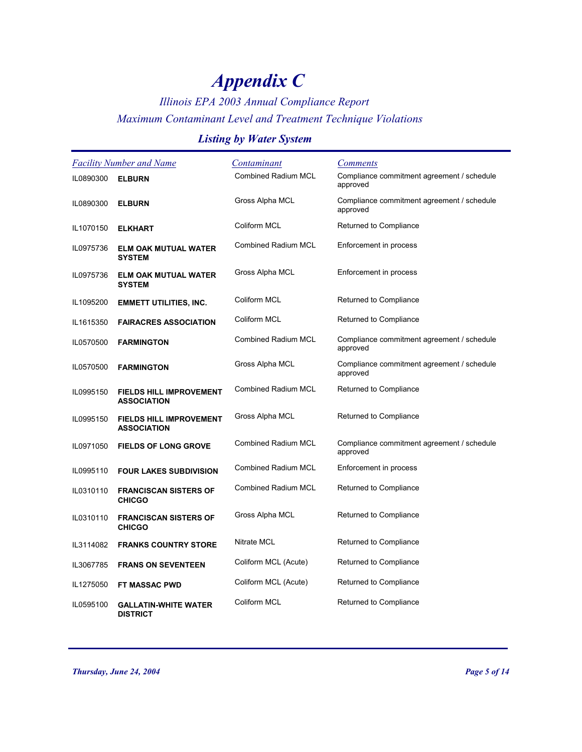## *Illinois EPA 2003 Annual Compliance Report Maximum Contaminant Level and Treatment Technique Violations*

### *Listing by Water System*

| <b>Facility Number and Name</b> |                                                      | Contaminant                | <b>Comments</b>                                        |
|---------------------------------|------------------------------------------------------|----------------------------|--------------------------------------------------------|
| IL0890300                       | <b>ELBURN</b>                                        | <b>Combined Radium MCL</b> | Compliance commitment agreement / schedule<br>approved |
| IL0890300                       | <b>ELBURN</b>                                        | Gross Alpha MCL            | Compliance commitment agreement / schedule<br>approved |
| IL1070150                       | <b>ELKHART</b>                                       | Coliform MCL               | Returned to Compliance                                 |
| IL0975736                       | <b>ELM OAK MUTUAL WATER</b><br><b>SYSTEM</b>         | <b>Combined Radium MCL</b> | Enforcement in process                                 |
| IL0975736                       | <b>ELM OAK MUTUAL WATER</b><br><b>SYSTEM</b>         | Gross Alpha MCL            | Enforcement in process                                 |
| IL1095200                       | <b>EMMETT UTILITIES, INC.</b>                        | Coliform MCL               | Returned to Compliance                                 |
| IL1615350                       | <b>FAIRACRES ASSOCIATION</b>                         | Coliform MCL               | Returned to Compliance                                 |
| IL0570500                       | <b>FARMINGTON</b>                                    | <b>Combined Radium MCL</b> | Compliance commitment agreement / schedule<br>approved |
| IL0570500                       | <b>FARMINGTON</b>                                    | Gross Alpha MCL            | Compliance commitment agreement / schedule<br>approved |
| IL0995150                       | <b>FIELDS HILL IMPROVEMENT</b><br><b>ASSOCIATION</b> | <b>Combined Radium MCL</b> | Returned to Compliance                                 |
| IL0995150                       | <b>FIELDS HILL IMPROVEMENT</b><br><b>ASSOCIATION</b> | Gross Alpha MCL            | Returned to Compliance                                 |
| IL0971050                       | <b>FIELDS OF LONG GROVE</b>                          | <b>Combined Radium MCL</b> | Compliance commitment agreement / schedule<br>approved |
| IL0995110                       | <b>FOUR LAKES SUBDIVISION</b>                        | <b>Combined Radium MCL</b> | Enforcement in process                                 |
| IL0310110                       | <b>FRANCISCAN SISTERS OF</b><br><b>CHICGO</b>        | <b>Combined Radium MCL</b> | Returned to Compliance                                 |
| IL0310110                       | <b>FRANCISCAN SISTERS OF</b><br><b>CHICGO</b>        | Gross Alpha MCL            | Returned to Compliance                                 |
| IL3114082                       | <b>FRANKS COUNTRY STORE</b>                          | Nitrate MCL                | Returned to Compliance                                 |
| IL3067785                       | <b>FRANS ON SEVENTEEN</b>                            | Coliform MCL (Acute)       | Returned to Compliance                                 |
| IL1275050                       | <b>FT MASSAC PWD</b>                                 | Coliform MCL (Acute)       | Returned to Compliance                                 |
| IL0595100                       | <b>GALLATIN-WHITE WATER</b><br><b>DISTRICT</b>       | Coliform MCL               | Returned to Compliance                                 |

*Thursday, June 24, 2004 Page 5 of 14*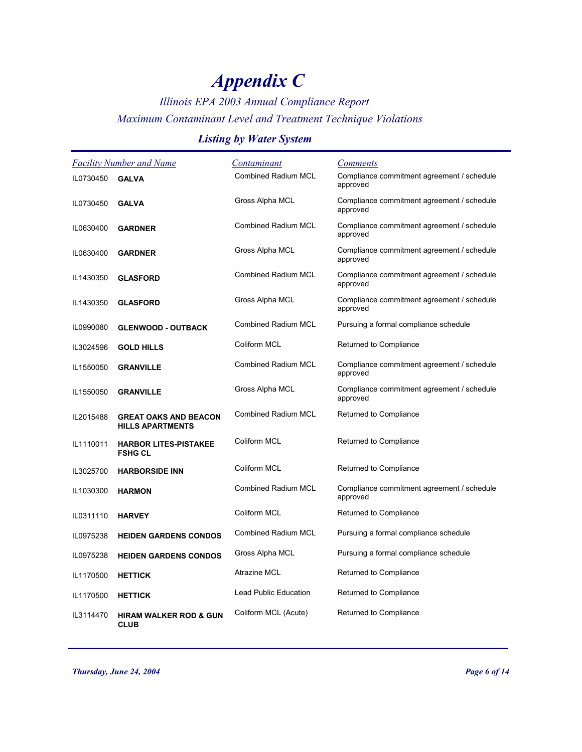## *Illinois EPA 2003 Annual Compliance Report Maximum Contaminant Level and Treatment Technique Violations*

### *Listing by Water System*

| <b>Facility Number and Name</b> |                                                         | Contaminant                | <u>Comments</u>                                        |
|---------------------------------|---------------------------------------------------------|----------------------------|--------------------------------------------------------|
| IL0730450                       | <b>GALVA</b>                                            | <b>Combined Radium MCL</b> | Compliance commitment agreement / schedule<br>approved |
| IL0730450                       | <b>GALVA</b>                                            | Gross Alpha MCL            | Compliance commitment agreement / schedule<br>approved |
| IL0630400                       | <b>GARDNER</b>                                          | <b>Combined Radium MCL</b> | Compliance commitment agreement / schedule<br>approved |
| IL0630400                       | <b>GARDNER</b>                                          | Gross Alpha MCL            | Compliance commitment agreement / schedule<br>approved |
| IL1430350                       | <b>GLASFORD</b>                                         | <b>Combined Radium MCL</b> | Compliance commitment agreement / schedule<br>approved |
| IL1430350                       | <b>GLASFORD</b>                                         | Gross Alpha MCL            | Compliance commitment agreement / schedule<br>approved |
| IL0990080                       | <b>GLENWOOD - OUTBACK</b>                               | <b>Combined Radium MCL</b> | Pursuing a formal compliance schedule                  |
| IL3024596                       | <b>GOLD HILLS</b>                                       | Coliform MCL               | Returned to Compliance                                 |
| IL1550050                       | <b>GRANVILLE</b>                                        | <b>Combined Radium MCL</b> | Compliance commitment agreement / schedule<br>approved |
| IL1550050                       | <b>GRANVILLE</b>                                        | Gross Alpha MCL            | Compliance commitment agreement / schedule<br>approved |
| IL2015488                       | <b>GREAT OAKS AND BEACON</b><br><b>HILLS APARTMENTS</b> | <b>Combined Radium MCL</b> | Returned to Compliance                                 |
| IL1110011                       | <b>HARBOR LITES-PISTAKEE</b><br><b>FSHG CL</b>          | Coliform MCL               | Returned to Compliance                                 |
| IL3025700                       | <b>HARBORSIDE INN</b>                                   | Coliform MCL               | Returned to Compliance                                 |
| IL1030300                       | <b>HARMON</b>                                           | <b>Combined Radium MCL</b> | Compliance commitment agreement / schedule<br>approved |
| IL0311110                       | <b>HARVEY</b>                                           | Coliform MCL               | Returned to Compliance                                 |
| IL0975238                       | <b>HEIDEN GARDENS CONDOS</b>                            | <b>Combined Radium MCL</b> | Pursuing a formal compliance schedule                  |
| IL0975238                       | <b>HEIDEN GARDENS CONDOS</b>                            | Gross Alpha MCL            | Pursuing a formal compliance schedule                  |
| IL1170500                       | <b>HETTICK</b>                                          | Atrazine MCL               | Returned to Compliance                                 |
| IL1170500                       | <b>HETTICK</b>                                          | Lead Public Education      | Returned to Compliance                                 |
| IL3114470                       | <b>HIRAM WALKER ROD &amp; GUN</b><br><b>CLUB</b>        | Coliform MCL (Acute)       | Returned to Compliance                                 |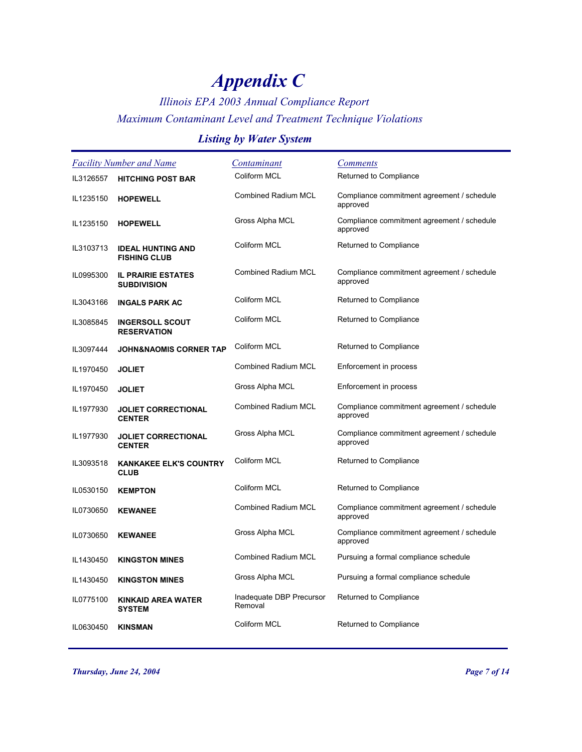## *Illinois EPA 2003 Annual Compliance Report Maximum Contaminant Level and Treatment Technique Violations*

### *Listing by Water System*

| Facility Number and Name |                                                 | Contaminant                         | <b>Comments</b>                                        |
|--------------------------|-------------------------------------------------|-------------------------------------|--------------------------------------------------------|
| IL3126557                | <b>HITCHING POST BAR</b>                        | Coliform MCL                        | Returned to Compliance                                 |
| IL1235150                | <b>HOPEWELL</b>                                 | <b>Combined Radium MCL</b>          | Compliance commitment agreement / schedule<br>approved |
| IL1235150                | <b>HOPEWELL</b>                                 | Gross Alpha MCL                     | Compliance commitment agreement / schedule<br>approved |
| IL3103713                | <b>IDEAL HUNTING AND</b><br><b>FISHING CLUB</b> | Coliform MCL                        | Returned to Compliance                                 |
| IL0995300                | <b>IL PRAIRIE ESTATES</b><br><b>SUBDIVISION</b> | <b>Combined Radium MCL</b>          | Compliance commitment agreement / schedule<br>approved |
| IL3043166                | <b>INGALS PARK AC</b>                           | Coliform MCL                        | Returned to Compliance                                 |
| IL3085845                | <b>INGERSOLL SCOUT</b><br><b>RESERVATION</b>    | Coliform MCL                        | Returned to Compliance                                 |
| IL3097444                | <b>JOHN&amp;NAOMIS CORNER TAP</b>               | Coliform MCL                        | Returned to Compliance                                 |
| IL1970450                | <b>JOLIET</b>                                   | <b>Combined Radium MCL</b>          | Enforcement in process                                 |
| IL1970450                | <b>JOLIET</b>                                   | Gross Alpha MCL                     | Enforcement in process                                 |
| IL1977930                | <b>JOLIET CORRECTIONAL</b><br><b>CENTER</b>     | <b>Combined Radium MCL</b>          | Compliance commitment agreement / schedule<br>approved |
| IL1977930                | <b>JOLIET CORRECTIONAL</b><br><b>CENTER</b>     | Gross Alpha MCL                     | Compliance commitment agreement / schedule<br>approved |
| IL3093518                | <b>KANKAKEE ELK'S COUNTRY</b><br><b>CLUB</b>    | Coliform MCL                        | Returned to Compliance                                 |
| IL0530150                | <b>KEMPTON</b>                                  | Coliform MCL                        | Returned to Compliance                                 |
| IL0730650                | <b>KEWANEE</b>                                  | <b>Combined Radium MCL</b>          | Compliance commitment agreement / schedule<br>approved |
| IL0730650                | <b>KEWANEE</b>                                  | Gross Alpha MCL                     | Compliance commitment agreement / schedule<br>approved |
| IL1430450                | <b>KINGSTON MINES</b>                           | <b>Combined Radium MCL</b>          | Pursuing a formal compliance schedule                  |
| IL1430450                | <b>KINGSTON MINES</b>                           | Gross Alpha MCL                     | Pursuing a formal compliance schedule                  |
| IL0775100                | <b>KINKAID AREA WATER</b><br><b>SYSTEM</b>      | Inadequate DBP Precursor<br>Removal | Returned to Compliance                                 |
| IL0630450                | <b>KINSMAN</b>                                  | Coliform MCL                        | Returned to Compliance                                 |

*Thursday, June 24, 2004 Page 7 of 14*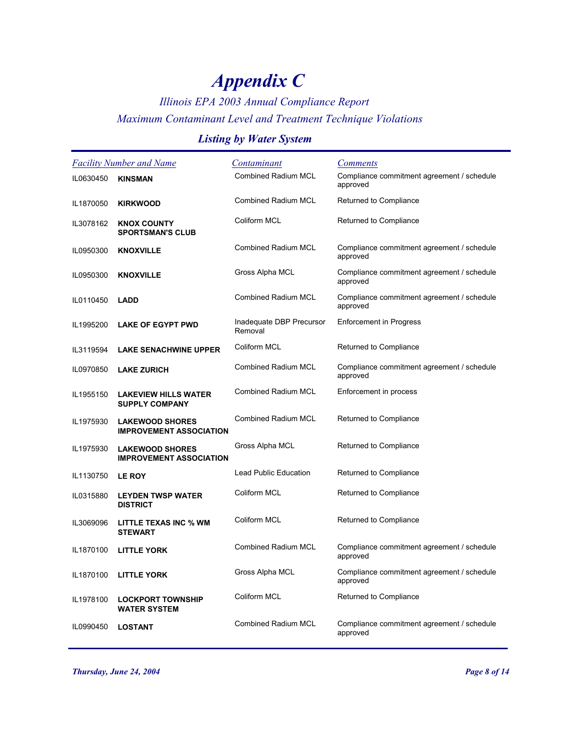## *Illinois EPA 2003 Annual Compliance Report Maximum Contaminant Level and Treatment Technique Violations*

#### *Listing by Water System*

| <b>Facility Number and Name</b> |                                                          | <u>Contaminant</u>                  | <b>Comments</b>                                        |
|---------------------------------|----------------------------------------------------------|-------------------------------------|--------------------------------------------------------|
| IL0630450                       | <b>KINSMAN</b>                                           | <b>Combined Radium MCL</b>          | Compliance commitment agreement / schedule<br>approved |
| IL1870050                       | <b>KIRKWOOD</b>                                          | <b>Combined Radium MCL</b>          | Returned to Compliance                                 |
| IL3078162                       | <b>KNOX COUNTY</b><br><b>SPORTSMAN'S CLUB</b>            | Coliform MCL                        | Returned to Compliance                                 |
| IL0950300                       | <b>KNOXVILLE</b>                                         | <b>Combined Radium MCL</b>          | Compliance commitment agreement / schedule<br>approved |
| IL0950300                       | <b>KNOXVILLE</b>                                         | Gross Alpha MCL                     | Compliance commitment agreement / schedule<br>approved |
| IL0110450                       | <b>LADD</b>                                              | <b>Combined Radium MCL</b>          | Compliance commitment agreement / schedule<br>approved |
| IL1995200                       | <b>LAKE OF EGYPT PWD</b>                                 | Inadequate DBP Precursor<br>Removal | <b>Enforcement in Progress</b>                         |
| IL3119594                       | <b>LAKE SENACHWINE UPPER</b>                             | Coliform MCL                        | Returned to Compliance                                 |
| IL0970850                       | <b>LAKE ZURICH</b>                                       | <b>Combined Radium MCL</b>          | Compliance commitment agreement / schedule<br>approved |
| IL1955150                       | <b>LAKEVIEW HILLS WATER</b><br><b>SUPPLY COMPANY</b>     | <b>Combined Radium MCL</b>          | Enforcement in process                                 |
| IL1975930                       | <b>LAKEWOOD SHORES</b><br><b>IMPROVEMENT ASSOCIATION</b> | <b>Combined Radium MCL</b>          | Returned to Compliance                                 |
| IL1975930                       | <b>LAKEWOOD SHORES</b><br><b>IMPROVEMENT ASSOCIATION</b> | Gross Alpha MCL                     | Returned to Compliance                                 |
| IL1130750                       | <b>LE ROY</b>                                            | Lead Public Education               | Returned to Compliance                                 |
| IL0315880                       | <b>LEYDEN TWSP WATER</b><br><b>DISTRICT</b>              | Coliform MCL                        | Returned to Compliance                                 |
| IL3069096                       | LITTLE TEXAS INC % WM<br><b>STEWART</b>                  | Coliform MCL                        | Returned to Compliance                                 |
| IL1870100                       | <b>LITTLE YORK</b>                                       | <b>Combined Radium MCL</b>          | Compliance commitment agreement / schedule<br>approved |
| IL1870100                       | <b>LITTLE YORK</b>                                       | Gross Alpha MCL                     | Compliance commitment agreement / schedule<br>approved |
| IL1978100                       | <b>LOCKPORT TOWNSHIP</b><br><b>WATER SYSTEM</b>          | Coliform MCL                        | Returned to Compliance                                 |
| IL0990450                       | <b>LOSTANT</b>                                           | <b>Combined Radium MCL</b>          | Compliance commitment agreement / schedule<br>approved |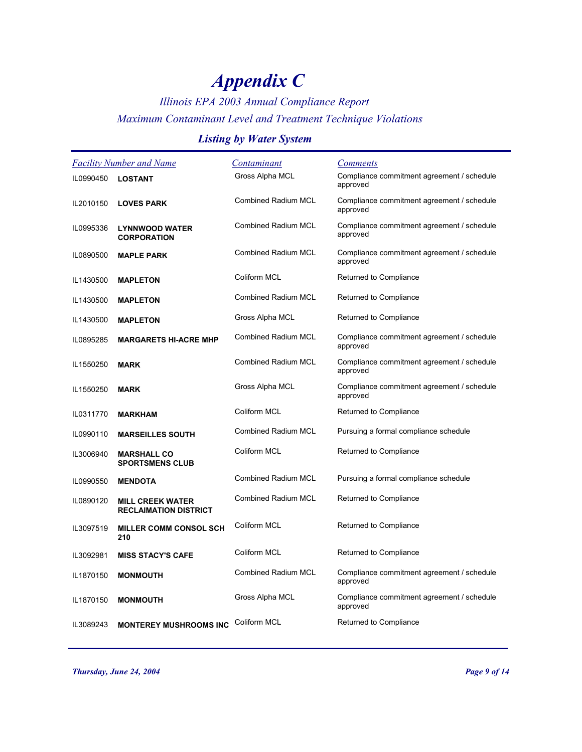## *Illinois EPA 2003 Annual Compliance Report Maximum Contaminant Level and Treatment Technique Violations*

### *Listing by Water System*

| <b>Facility Number and Name</b> |                                                         | Contaminant                | <b>Comments</b>                                        |
|---------------------------------|---------------------------------------------------------|----------------------------|--------------------------------------------------------|
| IL0990450                       | <b>LOSTANT</b>                                          | Gross Alpha MCL            | Compliance commitment agreement / schedule<br>approved |
| IL2010150                       | <b>LOVES PARK</b>                                       | <b>Combined Radium MCL</b> | Compliance commitment agreement / schedule<br>approved |
| IL0995336                       | <b>LYNNWOOD WATER</b><br><b>CORPORATION</b>             | <b>Combined Radium MCL</b> | Compliance commitment agreement / schedule<br>approved |
| IL0890500                       | <b>MAPLE PARK</b>                                       | <b>Combined Radium MCL</b> | Compliance commitment agreement / schedule<br>approved |
| IL1430500                       | <b>MAPLETON</b>                                         | Coliform MCL               | Returned to Compliance                                 |
| IL1430500                       | <b>MAPLETON</b>                                         | <b>Combined Radium MCL</b> | Returned to Compliance                                 |
| IL1430500                       | <b>MAPLETON</b>                                         | Gross Alpha MCL            | Returned to Compliance                                 |
| IL0895285                       | <b>MARGARETS HI-ACRE MHP</b>                            | <b>Combined Radium MCL</b> | Compliance commitment agreement / schedule<br>approved |
| IL1550250                       | <b>MARK</b>                                             | <b>Combined Radium MCL</b> | Compliance commitment agreement / schedule<br>approved |
| IL1550250                       | <b>MARK</b>                                             | Gross Alpha MCL            | Compliance commitment agreement / schedule<br>approved |
| IL0311770                       | <b>MARKHAM</b>                                          | Coliform MCL               | Returned to Compliance                                 |
| IL0990110                       | <b>MARSEILLES SOUTH</b>                                 | <b>Combined Radium MCL</b> | Pursuing a formal compliance schedule                  |
| IL3006940                       | <b>MARSHALL CO</b><br><b>SPORTSMENS CLUB</b>            | Coliform MCL               | Returned to Compliance                                 |
| IL0990550                       | <b>MENDOTA</b>                                          | <b>Combined Radium MCL</b> | Pursuing a formal compliance schedule                  |
| IL0890120                       | <b>MILL CREEK WATER</b><br><b>RECLAIMATION DISTRICT</b> | <b>Combined Radium MCL</b> | Returned to Compliance                                 |
| IL3097519                       | <b>MILLER COMM CONSOL SCH</b><br>210                    | Coliform MCL               | Returned to Compliance                                 |
| IL3092981                       | <b>MISS STACY'S CAFE</b>                                | Coliform MCL               | Returned to Compliance                                 |
| IL1870150                       | <b>MONMOUTH</b>                                         | <b>Combined Radium MCL</b> | Compliance commitment agreement / schedule<br>approved |
| IL1870150                       | <b>MONMOUTH</b>                                         | Gross Alpha MCL            | Compliance commitment agreement / schedule<br>approved |
| IL3089243                       | <b>MONTEREY MUSHROOMS INC</b>                           | Coliform MCL               | Returned to Compliance                                 |

*Thursday, June 24, 2004 Page 9 of 14*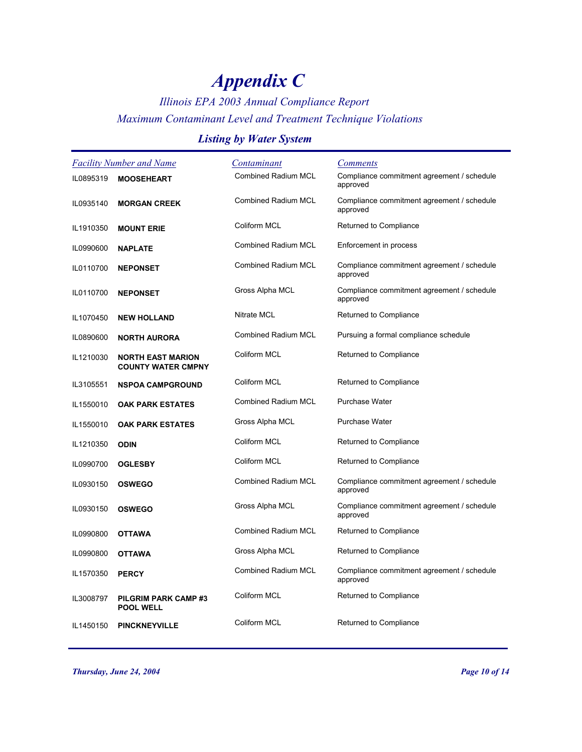## *Illinois EPA 2003 Annual Compliance Report Maximum Contaminant Level and Treatment Technique Violations*

### *Listing by Water System*

|           | <b>Facility Number and Name</b>                       | Contaminant                | <b>Comments</b>                                        |
|-----------|-------------------------------------------------------|----------------------------|--------------------------------------------------------|
| IL0895319 | <b>MOOSEHEART</b>                                     | <b>Combined Radium MCL</b> | Compliance commitment agreement / schedule<br>approved |
| IL0935140 | <b>MORGAN CREEK</b>                                   | <b>Combined Radium MCL</b> | Compliance commitment agreement / schedule<br>approved |
| IL1910350 | <b>MOUNT ERIE</b>                                     | Coliform MCL               | Returned to Compliance                                 |
| IL0990600 | <b>NAPLATE</b>                                        | <b>Combined Radium MCL</b> | Enforcement in process                                 |
| IL0110700 | <b>NEPONSET</b>                                       | Combined Radium MCL        | Compliance commitment agreement / schedule<br>approved |
| IL0110700 | <b>NEPONSET</b>                                       | Gross Alpha MCL            | Compliance commitment agreement / schedule<br>approved |
| IL1070450 | <b>NEW HOLLAND</b>                                    | <b>Nitrate MCL</b>         | Returned to Compliance                                 |
| IL0890600 | <b>NORTH AURORA</b>                                   | <b>Combined Radium MCL</b> | Pursuing a formal compliance schedule                  |
| IL1210030 | <b>NORTH EAST MARION</b><br><b>COUNTY WATER CMPNY</b> | Coliform MCL               | Returned to Compliance                                 |
| IL3105551 | <b>NSPOA CAMPGROUND</b>                               | Coliform MCL               | Returned to Compliance                                 |
| IL1550010 | <b>OAK PARK ESTATES</b>                               | <b>Combined Radium MCL</b> | <b>Purchase Water</b>                                  |
| IL1550010 | <b>OAK PARK ESTATES</b>                               | Gross Alpha MCL            | Purchase Water                                         |
| IL1210350 | <b>ODIN</b>                                           | Coliform MCL               | Returned to Compliance                                 |
| IL0990700 | <b>OGLESBY</b>                                        | Coliform MCL               | Returned to Compliance                                 |
| IL0930150 | <b>OSWEGO</b>                                         | Combined Radium MCL        | Compliance commitment agreement / schedule<br>approved |
| IL0930150 | <b>OSWEGO</b>                                         | Gross Alpha MCL            | Compliance commitment agreement / schedule<br>approved |
| IL0990800 | <b>OTTAWA</b>                                         | <b>Combined Radium MCL</b> | Returned to Compliance                                 |
| IL0990800 | <b>OTTAWA</b>                                         | Gross Alpha MCL            | Returned to Compliance                                 |
| IL1570350 | <b>PERCY</b>                                          | Combined Radium MCL        | Compliance commitment agreement / schedule<br>approved |
| IL3008797 | PILGRIM PARK CAMP#3<br><b>POOL WELL</b>               | Coliform MCL               | Returned to Compliance                                 |
| IL1450150 | <b>PINCKNEYVILLE</b>                                  | Coliform MCL               | Returned to Compliance                                 |

*Thursday, June 24, 2004 Page 10 of 14*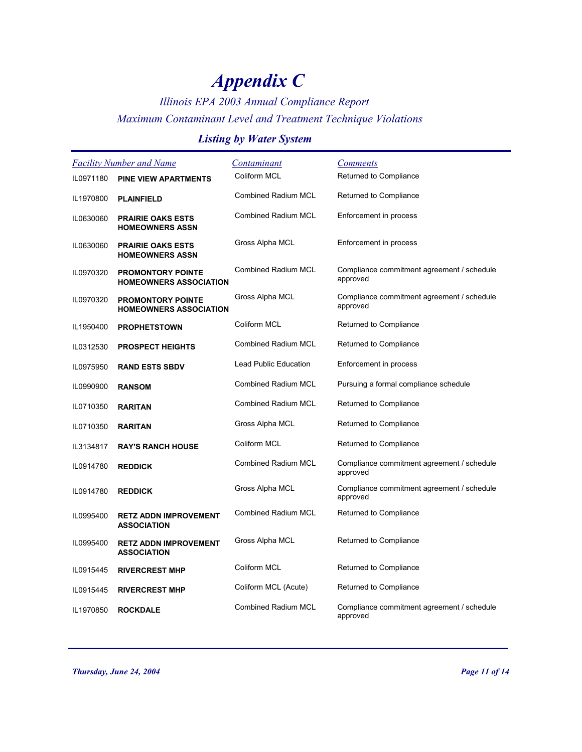## *Illinois EPA 2003 Annual Compliance Report Maximum Contaminant Level and Treatment Technique Violations*

### *Listing by Water System*

| <b>Facility Number and Name</b> |                                                           | <u>Contaminant</u>           | <b>Comments</b>                                        |
|---------------------------------|-----------------------------------------------------------|------------------------------|--------------------------------------------------------|
| IL0971180                       | <b>PINE VIEW APARTMENTS</b>                               | Coliform MCL                 | Returned to Compliance                                 |
| IL1970800                       | <b>PLAINFIELD</b>                                         | <b>Combined Radium MCL</b>   | Returned to Compliance                                 |
| IL0630060                       | <b>PRAIRIE OAKS ESTS</b><br><b>HOMEOWNERS ASSN</b>        | Combined Radium MCL          | Enforcement in process                                 |
| IL0630060                       | <b>PRAIRIE OAKS ESTS</b><br><b>HOMEOWNERS ASSN</b>        | Gross Alpha MCL              | Enforcement in process                                 |
| IL0970320                       | <b>PROMONTORY POINTE</b><br><b>HOMEOWNERS ASSOCIATION</b> | Combined Radium MCL          | Compliance commitment agreement / schedule<br>approved |
| IL0970320                       | <b>PROMONTORY POINTE</b><br><b>HOMEOWNERS ASSOCIATION</b> | Gross Alpha MCL              | Compliance commitment agreement / schedule<br>approved |
| IL1950400                       | <b>PROPHETSTOWN</b>                                       | Coliform MCL                 | Returned to Compliance                                 |
| IL0312530                       | <b>PROSPECT HEIGHTS</b>                                   | <b>Combined Radium MCL</b>   | Returned to Compliance                                 |
| IL0975950                       | <b>RAND ESTS SBDV</b>                                     | <b>Lead Public Education</b> | Enforcement in process                                 |
| IL0990900                       | <b>RANSOM</b>                                             | <b>Combined Radium MCL</b>   | Pursuing a formal compliance schedule                  |
| IL0710350                       | <b>RARITAN</b>                                            | <b>Combined Radium MCL</b>   | Returned to Compliance                                 |
| IL0710350                       | <b>RARITAN</b>                                            | Gross Alpha MCL              | Returned to Compliance                                 |
| IL3134817                       | <b>RAY'S RANCH HOUSE</b>                                  | Coliform MCL                 | Returned to Compliance                                 |
| IL0914780                       | <b>REDDICK</b>                                            | <b>Combined Radium MCL</b>   | Compliance commitment agreement / schedule<br>approved |
| IL0914780                       | <b>REDDICK</b>                                            | Gross Alpha MCL              | Compliance commitment agreement / schedule<br>approved |
| IL0995400                       | <b>RETZ ADDN IMPROVEMENT</b><br><b>ASSOCIATION</b>        | <b>Combined Radium MCL</b>   | Returned to Compliance                                 |
| IL0995400                       | <b>RETZ ADDN IMPROVEMENT</b><br><b>ASSOCIATION</b>        | Gross Alpha MCL              | Returned to Compliance                                 |
| IL0915445                       | <b>RIVERCREST MHP</b>                                     | Coliform MCL                 | Returned to Compliance                                 |
| IL0915445                       | <b>RIVERCREST MHP</b>                                     | Coliform MCL (Acute)         | Returned to Compliance                                 |
| IL1970850                       | <b>ROCKDALE</b>                                           | Combined Radium MCL          | Compliance commitment agreement / schedule<br>approved |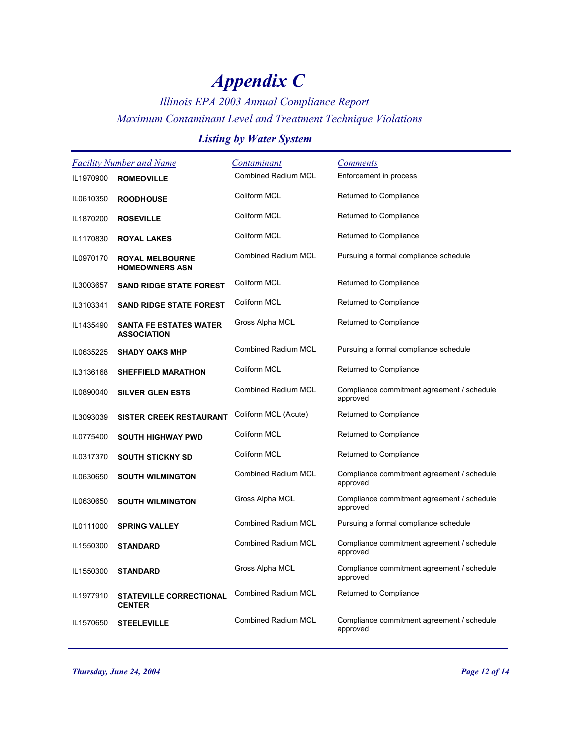## *Illinois EPA 2003 Annual Compliance Report Maximum Contaminant Level and Treatment Technique Violations*

### *Listing by Water System*

|           | <b>Facility Number and Name</b>                     | <u>Contaminant</u>         | <b>Comments</b>                                        |
|-----------|-----------------------------------------------------|----------------------------|--------------------------------------------------------|
| IL1970900 | <b>ROMEOVILLE</b>                                   | <b>Combined Radium MCL</b> | Enforcement in process                                 |
| IL0610350 | <b>ROODHOUSE</b>                                    | Coliform MCL               | Returned to Compliance                                 |
| IL1870200 | <b>ROSEVILLE</b>                                    | Coliform MCL               | Returned to Compliance                                 |
| IL1170830 | <b>ROYAL LAKES</b>                                  | Coliform MCL               | Returned to Compliance                                 |
| IL0970170 | <b>ROYAL MELBOURNE</b><br><b>HOMEOWNERS ASN</b>     | <b>Combined Radium MCL</b> | Pursuing a formal compliance schedule                  |
| IL3003657 | <b>SAND RIDGE STATE FOREST</b>                      | Coliform MCL               | Returned to Compliance                                 |
| IL3103341 | <b>SAND RIDGE STATE FOREST</b>                      | Coliform MCL               | Returned to Compliance                                 |
| IL1435490 | <b>SANTA FE ESTATES WATER</b><br><b>ASSOCIATION</b> | Gross Alpha MCL            | Returned to Compliance                                 |
| IL0635225 | <b>SHADY OAKS MHP</b>                               | <b>Combined Radium MCL</b> | Pursuing a formal compliance schedule                  |
| IL3136168 | <b>SHEFFIELD MARATHON</b>                           | Coliform MCL               | Returned to Compliance                                 |
| IL0890040 | <b>SILVER GLEN ESTS</b>                             | <b>Combined Radium MCL</b> | Compliance commitment agreement / schedule<br>approved |
| IL3093039 | <b>SISTER CREEK RESTAURANT</b>                      | Coliform MCL (Acute)       | Returned to Compliance                                 |
| IL0775400 | <b>SOUTH HIGHWAY PWD</b>                            | Coliform MCL               | Returned to Compliance                                 |
| IL0317370 | <b>SOUTH STICKNY SD</b>                             | Coliform MCL               | Returned to Compliance                                 |
| IL0630650 | <b>SOUTH WILMINGTON</b>                             | <b>Combined Radium MCL</b> | Compliance commitment agreement / schedule<br>approved |
| IL0630650 | <b>SOUTH WILMINGTON</b>                             | Gross Alpha MCL            | Compliance commitment agreement / schedule<br>approved |
| IL0111000 | <b>SPRING VALLEY</b>                                | <b>Combined Radium MCL</b> | Pursuing a formal compliance schedule                  |
| IL1550300 | <b>STANDARD</b>                                     | <b>Combined Radium MCL</b> | Compliance commitment agreement / schedule<br>approved |
| IL1550300 | <b>STANDARD</b>                                     | Gross Alpha MCL            | Compliance commitment agreement / schedule<br>approved |
| IL1977910 | <b>STATEVILLE CORRECTIONAL</b><br><b>CENTER</b>     | <b>Combined Radium MCL</b> | Returned to Compliance                                 |
| IL1570650 | <b>STEELEVILLE</b>                                  | <b>Combined Radium MCL</b> | Compliance commitment agreement / schedule<br>approved |

*Thursday, June 24, 2004 Page 12 of 14*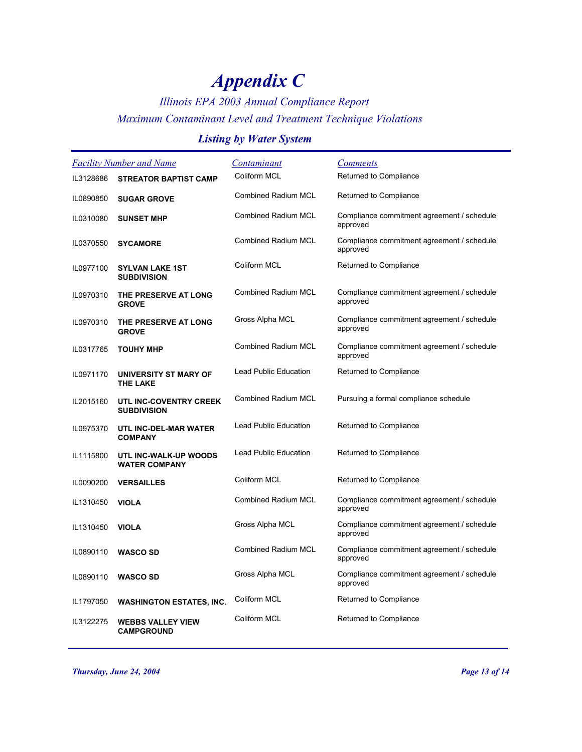## *Illinois EPA 2003 Annual Compliance Report Maximum Contaminant Level and Treatment Technique Violations*

### *Listing by Water System*

| <b>Facility Number and Name</b> |                                               | <u>Contaminant</u>           | <b>Comments</b>                                        |
|---------------------------------|-----------------------------------------------|------------------------------|--------------------------------------------------------|
| IL3128686                       | <b>STREATOR BAPTIST CAMP</b>                  | Coliform MCL                 | Returned to Compliance                                 |
| IL0890850                       | <b>SUGAR GROVE</b>                            | Combined Radium MCL          | Returned to Compliance                                 |
| IL0310080                       | <b>SUNSET MHP</b>                             | <b>Combined Radium MCL</b>   | Compliance commitment agreement / schedule<br>approved |
| IL0370550                       | <b>SYCAMORE</b>                               | <b>Combined Radium MCL</b>   | Compliance commitment agreement / schedule<br>approved |
| IL0977100                       | <b>SYLVAN LAKE 1ST</b><br><b>SUBDIVISION</b>  | Coliform MCL                 | Returned to Compliance                                 |
| IL0970310                       | THE PRESERVE AT LONG<br><b>GROVE</b>          | Combined Radium MCL          | Compliance commitment agreement / schedule<br>approved |
| IL0970310                       | THE PRESERVE AT LONG<br><b>GROVE</b>          | Gross Alpha MCL              | Compliance commitment agreement / schedule<br>approved |
| IL0317765                       | <b>TOUHY MHP</b>                              | <b>Combined Radium MCL</b>   | Compliance commitment agreement / schedule<br>approved |
| IL0971170                       | UNIVERSITY ST MARY OF<br><b>THE LAKE</b>      | <b>Lead Public Education</b> | Returned to Compliance                                 |
| IL2015160                       | UTL INC-COVENTRY CREEK<br><b>SUBDIVISION</b>  | <b>Combined Radium MCL</b>   | Pursuing a formal compliance schedule                  |
| IL0975370                       | UTL INC-DEL-MAR WATER<br><b>COMPANY</b>       | <b>Lead Public Education</b> | Returned to Compliance                                 |
| IL1115800                       | UTL INC-WALK-UP WOODS<br><b>WATER COMPANY</b> | <b>Lead Public Education</b> | Returned to Compliance                                 |
| IL0090200                       | <b>VERSAILLES</b>                             | Coliform MCL                 | Returned to Compliance                                 |
| IL1310450                       | <b>VIOLA</b>                                  | <b>Combined Radium MCL</b>   | Compliance commitment agreement / schedule<br>approved |
| IL1310450                       | <b>VIOLA</b>                                  | Gross Alpha MCL              | Compliance commitment agreement / schedule<br>approved |
| IL0890110                       | <b>WASCO SD</b>                               | <b>Combined Radium MCL</b>   | Compliance commitment agreement / schedule<br>approved |
| IL0890110                       | <b>WASCO SD</b>                               | Gross Alpha MCL              | Compliance commitment agreement / schedule<br>approved |
| IL1797050                       | <b>WASHINGTON ESTATES, INC.</b>               | Coliform MCL                 | Returned to Compliance                                 |
| IL3122275                       | <b>WEBBS VALLEY VIEW</b><br><b>CAMPGROUND</b> | Coliform MCL                 | Returned to Compliance                                 |

*Thursday, June 24, 2004 Page 13 of 14*